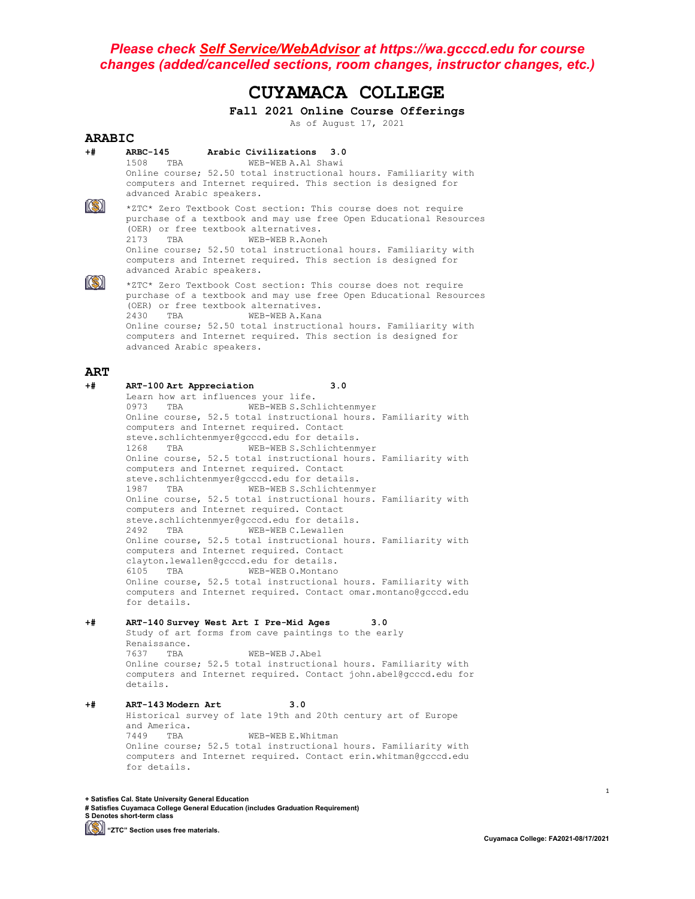# **CUYAMACA COLLEGE**

**Fall 2021 Online Course Offerings**

As of August 17, 2021

#### **ARABIC**<br>+# ARBC-145 **+# ARBC-145 Arabic Civilizations 3.0** WEB-WEB A.Al Shawi Online course; 52.50 total instructional hours. Familiarity with computers and Internet required. This section is designed for advanced Arabic speakers.  $\ket{\mathbb{S}}$ \*ZTC\* Zero Textbook Cost section: This course does not require purchase of a textbook and may use free Open Educational Resources (OER) or free textbook alternatives.<br>2173 TBA WEB-WEB R.Aone WEB-WEB R.Aoneh Online course; 52.50 total instructional hours. Familiarity with computers and Internet required. This section is designed for advanced Arabic speakers.  $\ket{\mathbb{S}}$ \*ZTC\* Zero Textbook Cost section: This course does not require purchase of a textbook and may use free Open Educational Resources (OER) or free textbook alternatives.<br>2430 TBA WEB-WEB A.Kana 2430 TBA WEB-WEB A.Kana Online course; 52.50 total instructional hours. Familiarity with computers and Internet required. This section is designed for advanced Arabic speakers. **ART +# ART-100 Art Appreciation 3.0**

Learn how art influences your life.<br>0973 TBA WEB-WEB S.Sch WEB-WEB S.Schlichtenmyer Online course, 52.5 total instructional hours. Familiarity with computers and Internet required. Contact steve.schlichtenmyer@gcccd.edu for details.<br>1268 TRA WEB-WEBS Schlichtenmyer 1268 TBA WEB-WEB S.Schlichtenmyer Online course, 52.5 total instructional hours. Familiarity with computers and Internet required. Contact steve.schlichtenmyer@gcccd.edu for details.<br>1987 TBA WEB-WEB S.Schlichtenm WEB-WEB S.Schlichtenmyer Online course, 52.5 total instructional hours. Familiarity with computers and Internet required. Contact steve.schlichtenmyer@gcccd.edu for details.<br>2492 TBA WEB-WEBC.Lewallen WEB-WEB C.Lewallen Online course, 52.5 total instructional hours. Familiarity with computers and Internet required. Contact clayton.lewallen@gcccd.edu for details.<br>6105 TBA WEB-WEBO.Montano WEB-WEB O.Montano Online course, 52.5 total instructional hours. Familiarity with computers and Internet required. Contact omar.montano@gcccd.edu for details.

### **+# ART-140 Survey West Art I Pre-Mid Ages 3.0**

Study of art forms from cave paintings to the early Renaissance.<br>7637 TBA WEB-WEB J.Abel Online course; 52.5 total instructional hours. Familiarity with computers and Internet required. Contact john.abel@gcccd.edu for details.

#### **+# ART-143 Modern Art 3.0** Historical survey of late 19th and 20th century art of Europe and America.<br>7449 TBA WEB-WEB E.Whitman Online course; 52.5 total instructional hours. Familiarity with computers and Internet required. Contact erin.whitman@gcccd.edu for details.

**+ Satisfies Cal. State University General Education**

**# Satisfies Cuyamaca College General Education (includes Graduation Requirement) S Denotes short-term class**

**(S)** "ZTC" Section uses free materials.

1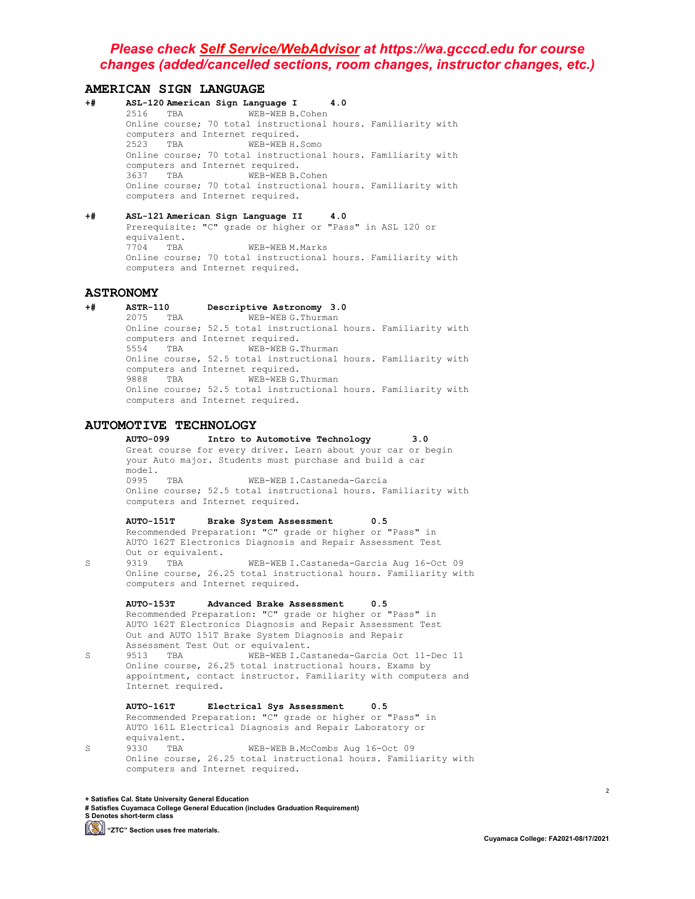# **AMERICAN SIGN LANGUAGE**<br>+# ASL-120 American Sign Langu

- **+# ASL-120 American Sign Language I 4.0** WEB-WEB B.Cohen Online course; 70 total instructional hours. Familiarity with computers and Internet required.<br>2523 TBA WEB-WEB H. WEB-WEB H.Somo Online course; 70 total instructional hours. Familiarity with computers and Internet required.<br>3637 TBA WEB-WEB B. WEB-WEB B.Cohen Online course; 70 total instructional hours. Familiarity with computers and Internet required.
- **+# ASL-121 American Sign Language II 4.0** Prerequisite: "C" grade or higher or "Pass" in ASL 120 or equivalent.<br>7704 TBA WEB-WEB M.Marks Online course; 70 total instructional hours. Familiarity with computers and Internet required.

# **ASTRONOMY**

**+# ASTR-110 Descriptive Astronomy 3.0** WEB-WEB G.Thurman Online course; 52.5 total instructional hours. Familiarity with computers and Internet required.<br>5554 TRA WEB-WERG. WEB-WEB G.Thurman Online course, 52.5 total instructional hours. Familiarity with computers and Internet required.<br>9888 TBA WEB-WEBG. WEB-WEB G.Thurman Online course; 52.5 total instructional hours. Familiarity with computers and Internet required.

# **AUTOMOTIVE TECHNOLOGY**

**AUTO-099 Intro to Automotive Technology 3.0** Great course for every driver. Learn about your car or begin your Auto major. Students must purchase and build a car model.<br>0995 TBA WEB-WEB I.Castaneda-Garcia Online course; 52.5 total instructional hours. Familiarity with computers and Internet required.

**AUTO-151T Brake System Assessment 0.5** Recommended Preparation: "C" grade or higher or "Pass" in AUTO 162T Electronics Diagnosis and Repair Assessment Test Out or equivalent.<br>9319 TBA

S 9319 TBA WEB-WEB I.Castaneda-Garcia Aug 16-Oct 09 Online course, 26.25 total instructional hours. Familiarity with computers and Internet required.

**AUTO-153T Advanced Brake Assessment 0.5** Recommended Preparation: "C" grade or higher or "Pass" in AUTO 162T Electronics Diagnosis and Repair Assessment Test Out and AUTO 151T Brake System Diagnosis and Repair Assessment Test Out or equivalent.<br>9513 TBA WEB-WEB I.Ca.

S 9513 TBA WEB-WEB I.Castaneda-Garcia Oct 11-Dec 11 Online course, 26.25 total instructional hours. Exams by appointment, contact instructor. Familiarity with computers and Internet required.

**AUTO-161T Electrical Sys Assessment 0.5** Recommended Preparation: "C" grade or higher or "Pass" in AUTO 161L Electrical Diagnosis and Repair Laboratory or equivalent.<br>9330 TBA S 9330 TBA WEB-WEB B.McCombs Aug 16-Oct 09

Online course, 26.25 total instructional hours. Familiarity with computers and Internet required.

**+ Satisfies Cal. State University General Education**

**# Satisfies Cuyamaca College General Education (includes Graduation Requirement) S Denotes short-term class**

**(S)** "ZTC" Section uses free materials.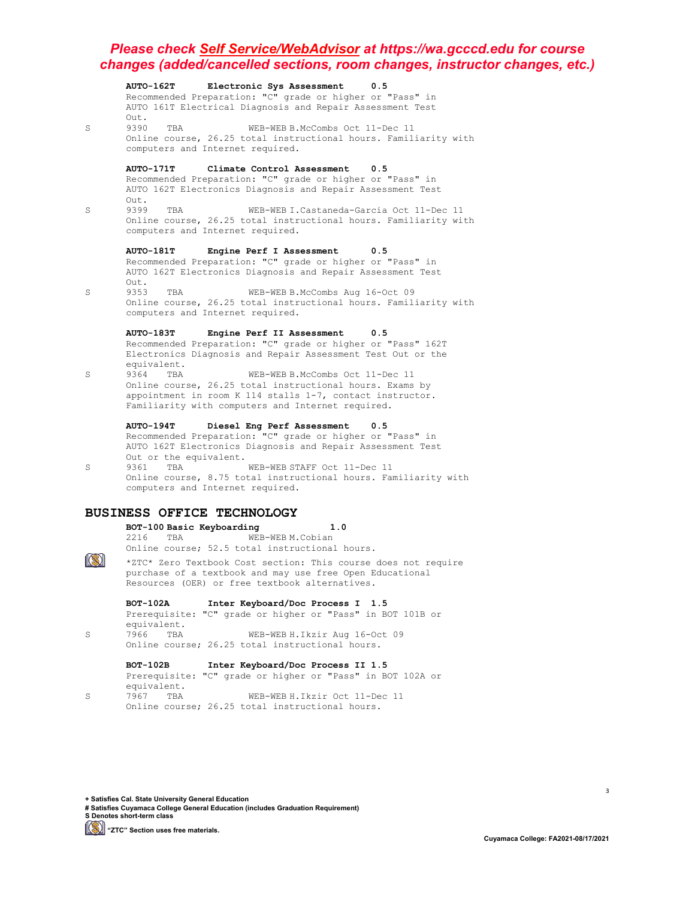**AUTO-162T Electronic Sys Assessment 0.5** Recommended Preparation: "C" grade or higher or "Pass" in AUTO 161T Electrical Diagnosis and Repair Assessment Test Out.<br>9390 S 9390 TBA WEB-WEB B.McCombs Oct 11-Dec 11 Online course, 26.25 total instructional hours. Familiarity with computers and Internet required. **AUTO-171T Climate Control Assessment 0.5** Recommended Preparation: "C" grade or higher or "Pass" in AUTO 162T Electronics Diagnosis and Repair Assessment Test Out.<br>9399 S 9399 TBA WEB-WEB I.Castaneda-Garcia Oct 11-Dec 11 Online course, 26.25 total instructional hours. Familiarity with computers and Internet required. **AUTO-181T Engine Perf I Assessment 0.5** Recommended Preparation: "C" grade or higher or "Pass" in AUTO 162T Electronics Diagnosis and Repair Assessment Test Out.<br>9353 S 9353 TBA WEB-WEB B.McCombs Aug 16-Oct 09 Online course, 26.25 total instructional hours. Familiarity with computers and Internet required. **AUTO-183T Engine Perf II Assessment 0.5** Recommended Preparation: "C" grade or higher or "Pass" 162T Electronics Diagnosis and Repair Assessment Test Out or the equivalent.<br>9364 TBA S 9364 TBA WEB-WEB B.McCombs Oct 11-Dec 11 Online course, 26.25 total instructional hours. Exams by appointment in room K 114 stalls 1-7, contact instructor. Familiarity with computers and Internet required. **AUTO-194T Diesel Eng Perf Assessment 0.5** Recommended Preparation: "C" grade or higher or "Pass" in AUTO 162T Electronics Diagnosis and Repair Assessment Test Out or the equivalent.<br>9361 TBA S 9361 TBA WEB-WEB STAFF Oct 11-Dec 11 Online course, 8.75 total instructional hours. Familiarity with computers and Internet required. **BUSINESS OFFICE TECHNOLOGY BOT-100 Basic Keyboarding 1.0** WEB-WEB M.Cobian Online course; 52.5 total instructional hours.  $\ket{\mathbb{S}}$ \*ZTC\* Zero Textbook Cost section: This course does not require purchase of a textbook and may use free Open Educational Resources (OER) or free textbook alternatives. **BOT-102A Inter Keyboard/Doc Process I 1.5** Prerequisite: "C" grade or higher or "Pass" in BOT 101B or equivalent.<br>7966 TBA S 7966 TBA WEB-WEB H.Ikzir Aug 16-Oct 09 Online course; 26.25 total instructional hours. **BOT-102B Inter Keyboard/Doc Process II 1.5**

Prerequisite: "C" grade or higher or "Pass" in BOT 102A or equivalent.<br>7967 TBA S 7967 TBA WEB-WEB H.Ikzir Oct 11-Dec 11 Online course; 26.25 total instructional hours.

**+ Satisfies Cal. State University General Education**

**# Satisfies Cuyamaca College General Education (includes Graduation Requirement) S Denotes short-term class**

**[Simma]** "ZTC" Section uses free materials.

3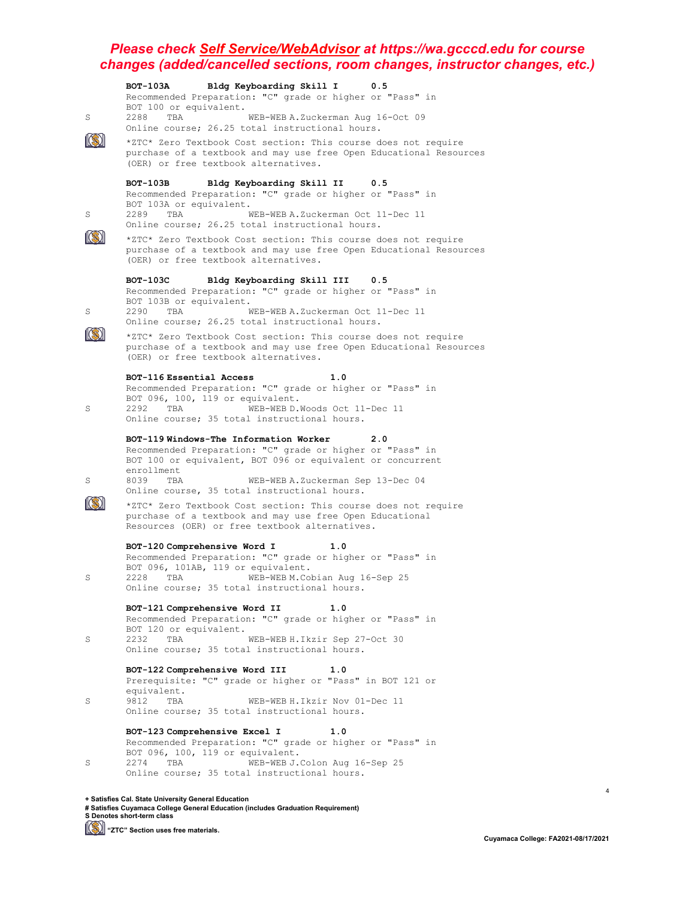|   | Bldg Keyboarding Skill I<br><b>BOT-103A</b><br>0.5<br>Recommended Preparation: "C" grade or higher or "Pass" in                                                                                                                                                                            |
|---|--------------------------------------------------------------------------------------------------------------------------------------------------------------------------------------------------------------------------------------------------------------------------------------------|
| S | BOT 100 or equivalent.<br>2288<br>WEB-WEB A. Zuckerman Aug 16-Oct 09<br>TBA<br>Online course; 26.25 total instructional hours.                                                                                                                                                             |
|   | *ZTC* Zero Textbook Cost section: This course does not require<br>purchase of a textbook and may use free Open Educational Resources<br>(OER) or free textbook alternatives.                                                                                                               |
| S | вот-103в<br>Bldg Keyboarding Skill II<br>0.5<br>Recommended Preparation: "C" grade or higher or "Pass" in<br>BOT 103A or equivalent.<br>WEB-WEB A.Zuckerman Oct 11-Dec 11<br>2289<br>TBA                                                                                                   |
|   | Online course; 26.25 total instructional hours.<br>*ZTC* Zero Textbook Cost section: This course does not require<br>purchase of a textbook and may use free Open Educational Resources<br>(OER) or free textbook alternatives.                                                            |
|   | <b>BOT-103C</b><br>Bldg Keyboarding Skill III<br>0.5<br>Recommended Preparation: "C" grade or higher or "Pass" in<br>BOT 103B or equivalent.                                                                                                                                               |
| S | 2290<br>WEB-WEB A.Zuckerman Oct 11-Dec 11<br>TBA<br>Online course; 26.25 total instructional hours.                                                                                                                                                                                        |
|   | *ZTC* Zero Textbook Cost section: This course does not require<br>purchase of a textbook and may use free Open Educational Resources<br>(OER) or free textbook alternatives.                                                                                                               |
| S | BOT-116 Essential Access<br>1.0<br>Recommended Preparation: "C" grade or higher or "Pass" in<br>BOT 096, 100, 119 or equivalent.<br>2292<br>TBA<br>WEB-WEB D.Woods Oct 11-Dec 11<br>Online course; 35 total instructional hours.                                                           |
| S | BOT-119 Windows-The Information Worker<br>2.0<br>Recommended Preparation: "C" grade or higher or "Pass" in<br>BOT 100 or equivalent, BOT 096 or equivalent or concurrent<br>enrollment<br>8039<br>TBA<br>WEB-WEB A.Zuckerman Sep 13-Dec 04<br>Online course, 35 total instructional hours. |
|   | *ZTC* Zero Textbook Cost section: This course does not require<br>purchase of a textbook and may use free Open Educational<br>Resources (OER) or free textbook alternatives.                                                                                                               |
| S | BOT-120 Comprehensive Word I<br>1.0<br>Recommended Preparation: "C" grade or higher or "Pass" in<br>BOT 096, 101AB, 119 or equivalent.<br>2228<br>TBA<br>WEB-WEB M. Cobian Aug 16-Sep 25<br>Online course; 35 total instructional hours.                                                   |
| S | BOT-121 Comprehensive Word II<br>1.0<br>Recommended Preparation: "C" grade or higher or "Pass" in<br>BOT 120 or equivalent.<br>2232<br>TBA<br>WEB-WEB H. Ikzir Sep 27-Oct 30<br>Online course; 35 total instructional hours.                                                               |
| S | BOT-122 Comprehensive Word III<br>1.0<br>Prerequisite: "C" grade or higher or "Pass" in BOT 121 or<br>equivalent.<br>WEB-WEB H. Ikzir Nov 01-Dec 11<br>9812<br>TBA<br>Online course; 35 total instructional hours.                                                                         |
| S | BOT-123 Comprehensive Excel I<br>1.0<br>Recommended Preparation: "C" grade or higher or "Pass" in<br>BOT 096, 100, 119 or equivalent.<br>2274 TBA<br>WEB-WEB J.Colon Aug 16-Sep 25<br>Online course; 35 total instructional hours.                                                         |

**+ Satisfies Cal. State University General Education # Satisfies Cuyamaca College General Education (includes Graduation Requirement) S Denotes short-term class**

**[Simmal]** "ZTC" Section uses free materials.

4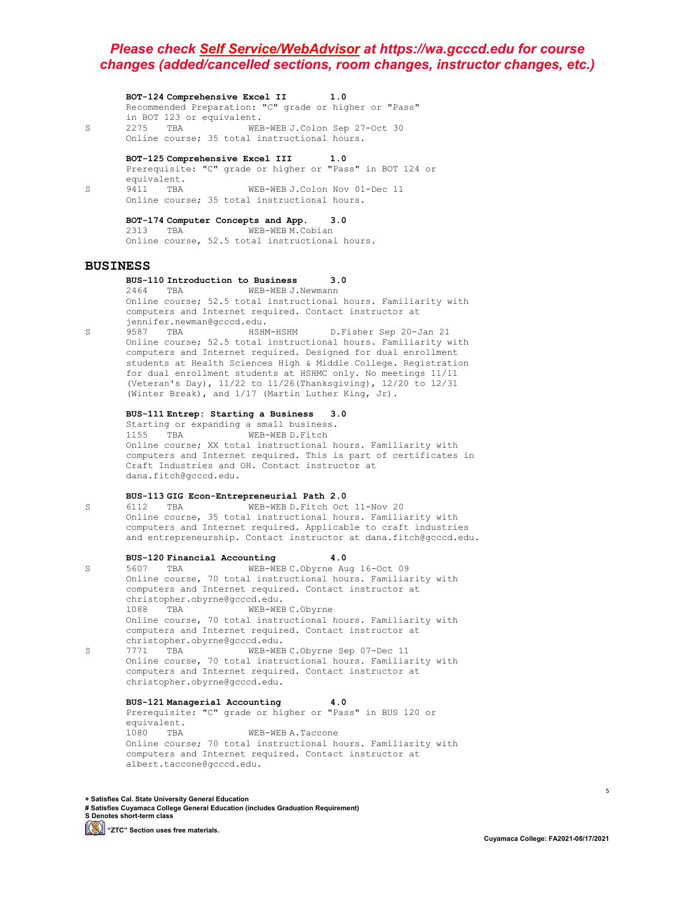**BOT-124 Comprehensive Excel II 1.0** Recommended Preparation: "C" grade or higher or "Pass" in BOT 123 or equivalent.<br>2275 TBA WEB S 2275 TBA WEB-WEB J.Colon Sep 27-Oct 30 Online course; 35 total instructional hours.

**BOT-125 Comprehensive Excel III 1.0** Prerequisite: "C" grade or higher or "Pass" in BOT 124 or equivalent.<br>9411 TBA S 9411 TBA WEB-WEB J.Colon Nov 01-Dec 11 Online course; 35 total instructional hours.

> **BOT-174 Computer Concepts and App. 3.0** WEB-WEB M.Cobian Online course, 52.5 total instructional hours.

#### **BUSINESS**

**BUS-110 Introduction to Business 3.0**

2464 TBA WEB-WEB J.Newmann Online course; 52.5 total instructional hours. Familiarity with computers and Internet required. Contact instructor at jennifer.newman@gcccd.edu.

S 9587 TBA HSHM-HSHM D.Fisher Sep 20-Jan 21 Online course; 52.5 total instructional hours. Familiarity with computers and Internet required. Designed for dual enrollment students at Health Sciences High & Middle College. Registration for dual enrollment students at HSHMC only. No meetings 11/11 (Veteran's Day), 11/22 to 11/26(Thanksgiving), 12/20 to 12/31 (Winter Break), and 1/17 (Martin Luther King, Jr).

#### **BUS-111 Entrep: Starting a Business 3.0**

Starting or expanding a small business. 1155 TBA WEB-WEB D.Fitch Online course; XX total instructional hours. Familiarity with computers and Internet required. This is part of certificates in Craft Industries and OH. Contact instructor at dana.fitch@gcccd.edu.

#### **BUS-113 GIG Econ-Entrepreneurial Path 2.0**

S 6112 TBA WEB-WEB D.Fitch Oct 11-Nov 20 Online course, 35 total instructional hours. Familiarity with computers and Internet required. Applicable to craft industries and entrepreneurship. Contact instructor at dana.fitch@gcccd.edu.

**BUS-120 Financial Accounting 4.0** S 5607 TBA WEB-WEB C.Obyrne Aug 16-Oct 09 Online course, 70 total instructional hours. Familiarity with computers and Internet required. Contact instructor at christopher.obyrne@gcccd.edu. 1088 TBA WEB-WEB C.Obyrne Online course, 70 total instructional hours. Familiarity with computers and Internet required. Contact instructor at christopher.obyrne@gcccd.edu. S 7771 TBA WEB-WEB C.Obyrne Sep 07-Dec 11 Online course, 70 total instructional hours. Familiarity with computers and Internet required. Contact instructor at christopher.obyrne@gcccd.edu.

> **BUS-121 Managerial Accounting 4.0** Prerequisite: "C" grade or higher or "Pass" in BUS 120 or equivalent.<br>1080 TBA WEB-WEB A.Taccone Online course; 70 total instructional hours. Familiarity with computers and Internet required. Contact instructor at albert.taccone@gcccd.edu.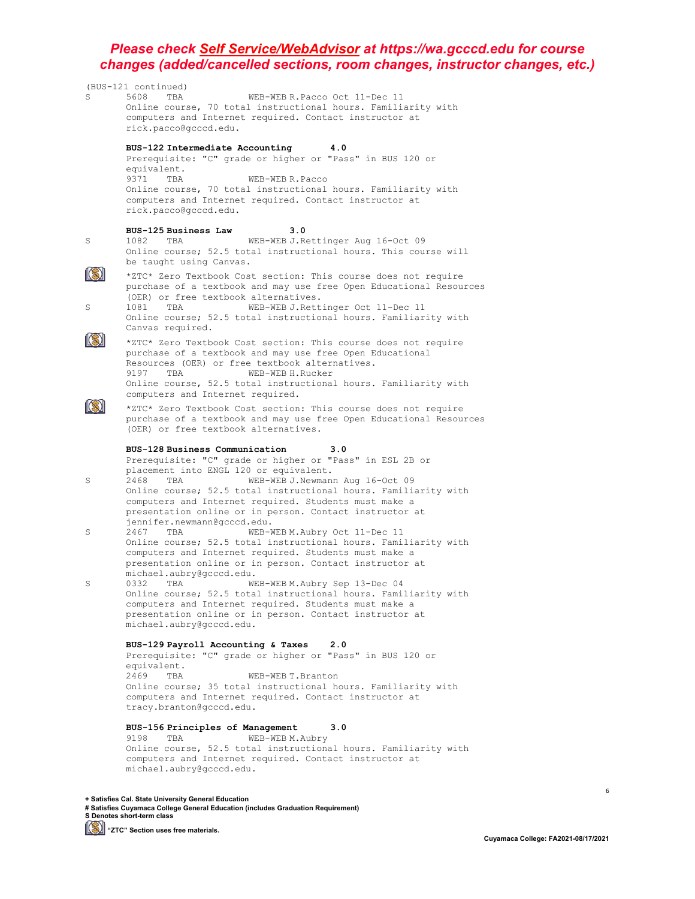

**+ Satisfies Cal. State University General Education # Satisfies Cuyamaca College General Education (includes Graduation Requirement) S Denotes short-term class**

**(S)** "ZTC" Section uses free materials.

6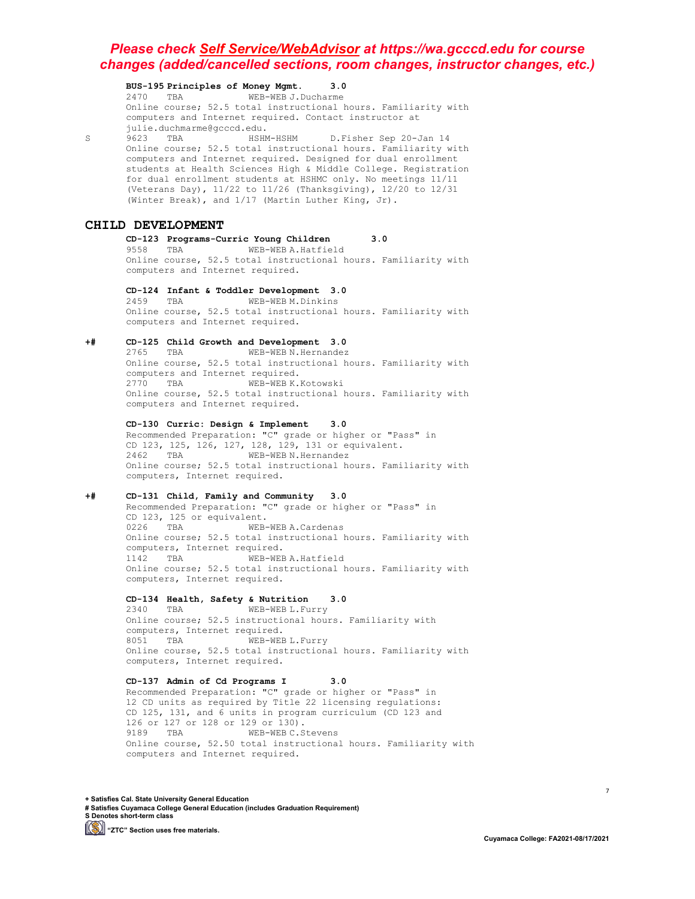**BUS-195 Principles of Money Mgmt. 3.0** 2470 TBA WEB-WEB J.Ducharme Online course; 52.5 total instructional hours. Familiarity with computers and Internet required. Contact instructor at julie.duchmarme@gcccd.edu. S 9623 TBA HSHM-HSHM D.Fisher Sep 20-Jan 14 Online course; 52.5 total instructional hours. Familiarity with computers and Internet required. Designed for dual enrollment students at Health Sciences High & Middle College. Registration for dual enrollment students at HSHMC only. No meetings 11/11 (Veterans Day), 11/22 to 11/26 (Thanksgiving), 12/20 to 12/31 (Winter Break), and 1/17 (Martin Luther King, Jr). **CHILD DEVELOPMENT CD-123 Programs-Curric Young Children 3.0** 9558 TBA WEB-WEB A.Hatfield Online course, 52.5 total instructional hours. Familiarity with computers and Internet required. **CD-124 Infant & Toddler Development 3.0** 2459 TBA WEB-WEB M.Dinkins Online course, 52.5 total instructional hours. Familiarity with computers and Internet required. **+# CD-125 Child Growth and Development 3.0** 2765 TBA WEB-WEB N.Hernandez Online course, 52.5 total instructional hours. Familiarity with computers and Internet required.<br>2770 TBA WEB-WEB K.Kotowski 2770 TBA WEB-WEB K.Kotowski Online course, 52.5 total instructional hours. Familiarity with computers and Internet required. **CD-130 Curric: Design & Implement 3.0** Recommended Preparation: "C" grade or higher or "Pass" in CD 123, 125, 126, 127, 128, 129, 131 or equivalent.<br>2462 TBA WEB-WEB N. Hernandez 2462 TBA WEB-WEB N.Hernandez Online course; 52.5 total instructional hours. Familiarity with computers, Internet required. **+# CD-131 Child, Family and Community 3.0** Recommended Preparation: "C" grade or higher or "Pass" in CD 123, 125 or equivalent.<br>0226 TBA WEB-WEB-WEB A.Cardenas Online course; 52.5 total instructional hours. Familiarity with computers, Internet required.<br>1142 TBA WEB-WEB WEB-WEB A.Hatfield Online course; 52.5 total instructional hours. Familiarity with computers, Internet required. **CD-134 Health, Safety & Nutrition 3.0** 2340 TBA WEB-WEB L.Furry Online course; 52.5 instructional hours. Familiarity with computers, Internet required.<br>8051 TBA WEB-WEE WEB-WEB L.Furry Online course, 52.5 total instructional hours. Familiarity with computers, Internet required. **CD-137 Admin of Cd Programs I 3.0** Recommended Preparation: "C" grade or higher or "Pass" in 12 CD units as required by Title 22 licensing regulations: CD 125, 131, and 6 units in program curriculum (CD 123 and 126 or 127 or 128 or 129 or 130).<br>9189 TBA WEB-WEBC.S WEB-WEB C.Stevens Online course, 52.50 total instructional hours. Familiarity with computers and Internet required.

**+ Satisfies Cal. State University General Education # Satisfies Cuyamaca College General Education (includes Graduation Requirement) S Denotes short-term class (S)** "ZTC" Section uses free materials.

7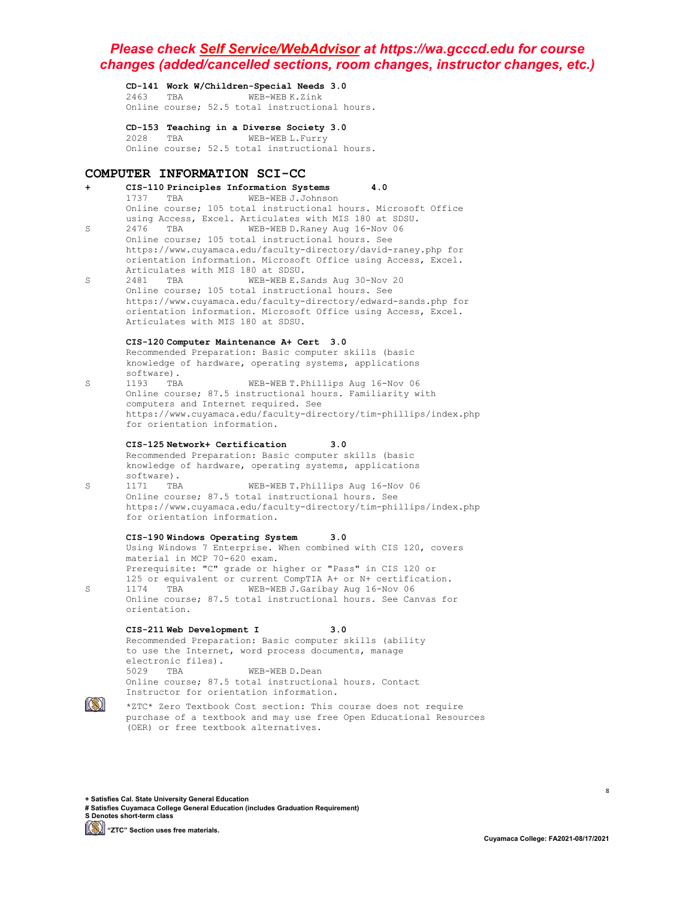**CD-141 Work W/Children-Special Needs 3.0** 2463 TBA WEB-WEB K.Zink Online course; 52.5 total instructional hours.

**CD-153 Teaching in a Diverse Society 3.0**

2028 TBA WEB-WEB L.Furry Online course; 52.5 total instructional hours.

### **COMPUTER INFORMATION SCI-CC**

#### **+ CIS-110 Principles Information Systems 4.0** WEB-WEB J.Johnson Online course; 105 total instructional hours. Microsoft Office using Access, Excel. Articulates with MIS 180 at SDSU.<br>2476 FRA WER-WER D Baney Aug 16-Nov 06 S 2476 TBA WEB-WEB D.Raney Aug 16-Nov 06 Online course; 105 total instructional hours. See https://www.cuyamaca.edu/faculty-directory/david-raney.php for orientation information. Microsoft Office using Access, Excel. Articulates with MIS 180 at SDSU.<br>2481 TBA WEB-WEB E.S. S 2481 TBA WEB-WEB E.Sands Aug 30-Nov 20 Online course; 105 total instructional hours. See https://www.cuyamaca.edu/faculty-directory/edward-sands.php for orientation information. Microsoft Office using Access, Excel. Articulates with MIS 180 at SDSU. **CIS-120 Computer Maintenance A+ Cert 3.0** Recommended Preparation: Basic computer skills (basic knowledge of hardware, operating systems, applications software).<br>1193 TBA S 1193 TBA WEB-WEB T.Phillips Aug 16-Nov 06 Online course; 87.5 instructional hours. Familiarity with computers and Internet required. See https://www.cuyamaca.edu/faculty-directory/tim-phillips/index.php for orientation information. **CIS-125 Network+ Certification 3.0** Recommended Preparation: Basic computer skills (basic knowledge of hardware, operating systems, applications software).<br>1171 TBA S 1171 TBA WEB-WEB T.Phillips Aug 16-Nov 06 Online course; 87.5 total instructional hours. See https://www.cuyamaca.edu/faculty-directory/tim-phillips/index.php for orientation information. **CIS-190 Windows Operating System 3.0** Using Windows 7 Enterprise. When combined with CIS 120, covers material in MCP 70-620 exam. Prerequisite: "C" grade or higher or "Pass" in CIS 120 or 125 or equivalent or current CompTIA A+ or N+ certification.<br>1174 TBA WEB-WEB J.Garibay Aug 16-Nov 06 S 1174 TBA WEB-WEB J.Garibay Aug 16-Nov 06 Online course; 87.5 total instructional hours. See Canvas for orientation. **CIS-211 Web Development I 3.0** Recommended Preparation: Basic computer skills (ability to use the Internet, word process documents, manage electronic files).<br>5029 TBA 5029 TBA WEB-WEB D.Dean Online course; 87.5 total instructional hours. Contact Instructor for orientation information.



\*ZTC\* Zero Textbook Cost section: This course does not require purchase of a textbook and may use free Open Educational Resources (OER) or free textbook alternatives.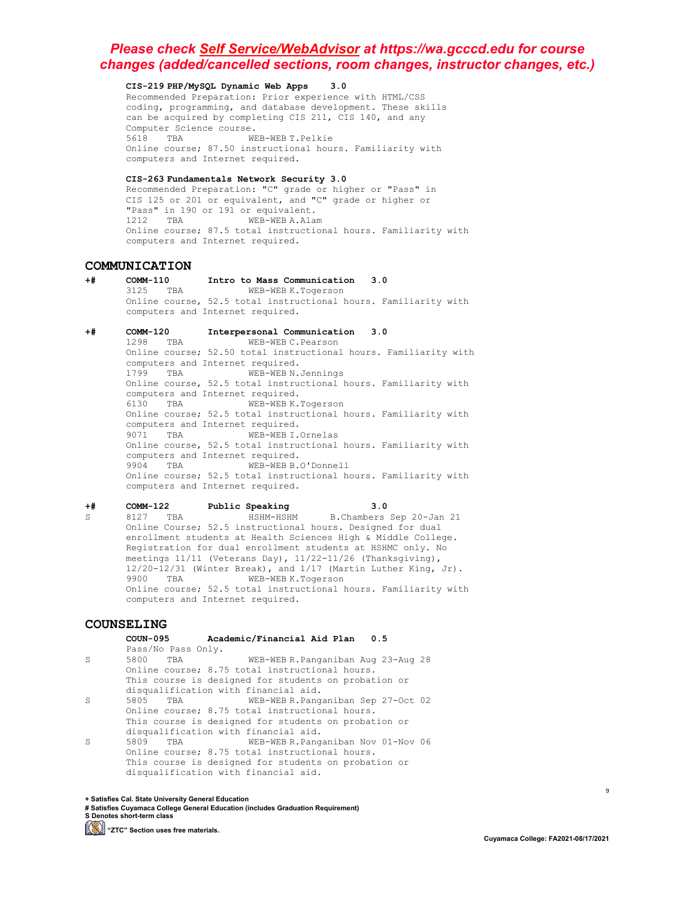#### **CIS-219 PHP/MySQL Dynamic Web Apps 3.0**

Recommended Preparation: Prior experience with HTML/CSS coding, programming, and database development. These skills can be acquired by completing CIS 211, CIS 140, and any Computer Science course.<br>5618 TBA WE WEB-WEB T.Pelkie Online course; 87.50 instructional hours. Familiarity with computers and Internet required.

#### **CIS-263 Fundamentals Network Security 3.0**

Recommended Preparation: "C" grade or higher or "Pass" in CIS 125 or 201 or equivalent, and "C" grade or higher or "Pass" in 190 or 191 or equivalent.<br>1212 TBA WEB-WEB A.Alam 1212 TBA WEB-WEB A.Alam Online course; 87.5 total instructional hours. Familiarity with computers and Internet required.

# **COMMUNICATION**

**+# COMM-110 Intro to Mass Communication 3.0** WEB-WEB K.Togerson Online course, 52.5 total instructional hours. Familiarity with computers and Internet required.

# **+# COMM-120 Interpersonal Communication 3.0**

WEB-WEB C.Pearson Online course; 52.50 total instructional hours. Familiarity with computers and Internet required.<br>1799 TBA WEB-WEBN. WEB-WEB N.Jennings Online course, 52.5 total instructional hours. Familiarity with computers and Internet required.<br>6130 TBA WEB-WEBK. WEB-WEB K.Togerson Online course; 52.5 total instructional hours. Familiarity with computers and Internet required. 9071 TBA WEB-WEB I.Ornelas Online course, 52.5 total instructional hours. Familiarity with computers and Internet required.<br>9904 TBA WEB-WEBB. WEB-WEB B.O'Donnell Online course; 52.5 total instructional hours. Familiarity with computers and Internet required.

**+# COMM-122 Public Speaking 3.0** B.Chambers Sep 20-Jan 21 Online Course; 52.5 instructional hours. Designed for dual enrollment students at Health Sciences High & Middle College. Registration for dual enrollment students at HSHMC only. No meetings 11/11 (Veterans Day), 11/22-11/26 (Thanksgiving),  $12/20-12/31$  (Winter Break), and  $1/17$  (Martin Luther King, Jr).<br>9900 TBA WEB-WEB K. Togerson 9900 TBA WEB-WEB K.Togerson Online course; 52.5 total instructional hours. Familiarity with computers and Internet required.

# **COUNSELING**

# **COUN-095 Academic/Financial Aid Plan 0.5**

- Pass/No Pass Only.<br>5800 TBA S 5800 TBA WEB-WEB R.Panganiban Aug 23-Aug 28 Online course; 8.75 total instructional hours. This course is designed for students on probation or disqualification with financial aid.<br>5805 TBA WEB-WEB R.Pang
- S 5805 TBA WEB-WEB R.Panganiban Sep 27-Oct 02 Online course; 8.75 total instructional hours. This course is designed for students on probation or
- disqualification with financial aid.<br>5809 TBA WEB-WEB R.Pang S 5809 TBA WEB-WEB R.Panganiban Nov 01-Nov 06 Online course; 8.75 total instructional hours. This course is designed for students on probation or disqualification with financial aid.

**+ Satisfies Cal. State University General Education**

**# Satisfies Cuyamaca College General Education (includes Graduation Requirement) S Denotes short-term class**

**(S)** "ZTC" Section uses free materials.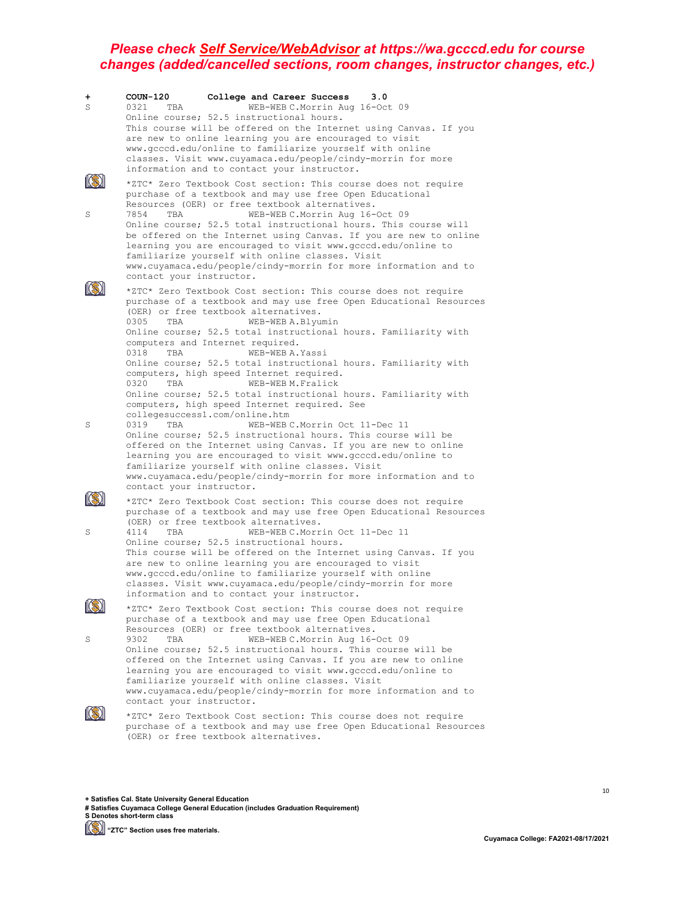| +                 | $COUN-120$<br>College and Career Success<br>3.0                                                                                                                                                                                                                                                                                                                                                                                                                                                                                                                                                                                                                     |
|-------------------|---------------------------------------------------------------------------------------------------------------------------------------------------------------------------------------------------------------------------------------------------------------------------------------------------------------------------------------------------------------------------------------------------------------------------------------------------------------------------------------------------------------------------------------------------------------------------------------------------------------------------------------------------------------------|
| S                 | WEB-WEB C.Morrin Aug 16-Oct 09<br>0321<br>TBA<br>Online course; 52.5 instructional hours.<br>This course will be offered on the Internet using Canvas. If you<br>are new to online learning you are encouraged to visit<br>www.gcccd.edu/online to familiarize yourself with online<br>classes. Visit www.cuyamaca.edu/people/cindy-morrin for more<br>information and to contact your instructor.                                                                                                                                                                                                                                                                  |
| S                 | *ZTC* Zero Textbook Cost section: This course does not require<br>purchase of a textbook and may use free Open Educational<br>Resources (OER) or free textbook alternatives.<br>WEB-WEB C.Morrin Aug 16-Oct 09<br>7854<br>TBA<br>Online course; 52.5 total instructional hours. This course will<br>be offered on the Internet using Canvas. If you are new to online<br>learning you are encouraged to visit www.gcccd.edu/online to<br>familiarize yourself with online classes. Visit<br>www.cuyamaca.edu/people/cindy-morrin for more information and to<br>contact your instructor.                                                                            |
|                   | *ZTC* Zero Textbook Cost section: This course does not require<br>purchase of a textbook and may use free Open Educational Resources<br>(OER) or free textbook alternatives.<br>0305<br>TBA<br>WEB-WEB A.Blyumin<br>Online course; 52.5 total instructional hours. Familiarity with<br>computers and Internet required.<br>WEB-WEB A. Yassi<br>0318<br>TBA<br>Online course; 52.5 total instructional hours. Familiarity with<br>computers, high speed Internet required.<br>0320<br>WEB-WEB M. Fralick<br>TBA<br>Online course; 52.5 total instructional hours. Familiarity with<br>computers, high speed Internet required. See<br>collegesuccess1.com/online.htm |
| S                 | 0319<br>TBA<br>WEB-WEB C.Morrin Oct 11-Dec 11<br>Online course; 52.5 instructional hours. This course will be<br>offered on the Internet using Canvas. If you are new to online<br>learning you are encouraged to visit www.gcccd.edu/online to<br>familiarize yourself with online classes. Visit<br>www.cuyamaca.edu/people/cindy-morrin for more information and to<br>contact your instructor.                                                                                                                                                                                                                                                                  |
|                   | *ZTC* Zero Textbook Cost section: This course does not require<br>purchase of a textbook and may use free Open Educational Resources<br>(OER) or free textbook alternatives.                                                                                                                                                                                                                                                                                                                                                                                                                                                                                        |
| S                 | WEB-WEB C.Morrin Oct 11-Dec 11<br>4114<br>TBA<br>Online course; 52.5 instructional hours.<br>This course will be offered on the Internet using Canvas. If you<br>are new to online learning you are encouraged to visit<br>www.gcccd.edu/online to familiarize yourself with online<br>classes. Visit www.cuyamaca.edu/people/cindy-morrin for more<br>information and to contact your instructor.                                                                                                                                                                                                                                                                  |
| <b>IRSN</b><br>KS | *ZTC* Zero Textbook Cost section: This course does not require<br>purchase of a textbook and may use free Open Educational<br>Resources (OER) or free textbook alternatives.                                                                                                                                                                                                                                                                                                                                                                                                                                                                                        |
| S                 | 9302<br>WEB-WEB C.Morrin Aug 16-Oct 09<br>TBA<br>Online course; 52.5 instructional hours. This course will be<br>offered on the Internet using Canvas. If you are new to online<br>learning you are encouraged to visit www.gcccd.edu/online to<br>familiarize yourself with online classes. Visit<br>www.cuyamaca.edu/people/cindy-morrin for more information and to<br>contact your instructor.                                                                                                                                                                                                                                                                  |
|                   | *ZTC* Zero Textbook Cost section: This course does not require<br>purchase of a textbook and may use free Open Educational Resources<br>(OER) or free textbook alternatives.                                                                                                                                                                                                                                                                                                                                                                                                                                                                                        |

**+ Satisfies Cal. State University General Education**

**# Satisfies Cuyamaca College General Education (includes Graduation Requirement) S Denotes short-term class**

**[Simmal]** "ZTC" Section uses free materials.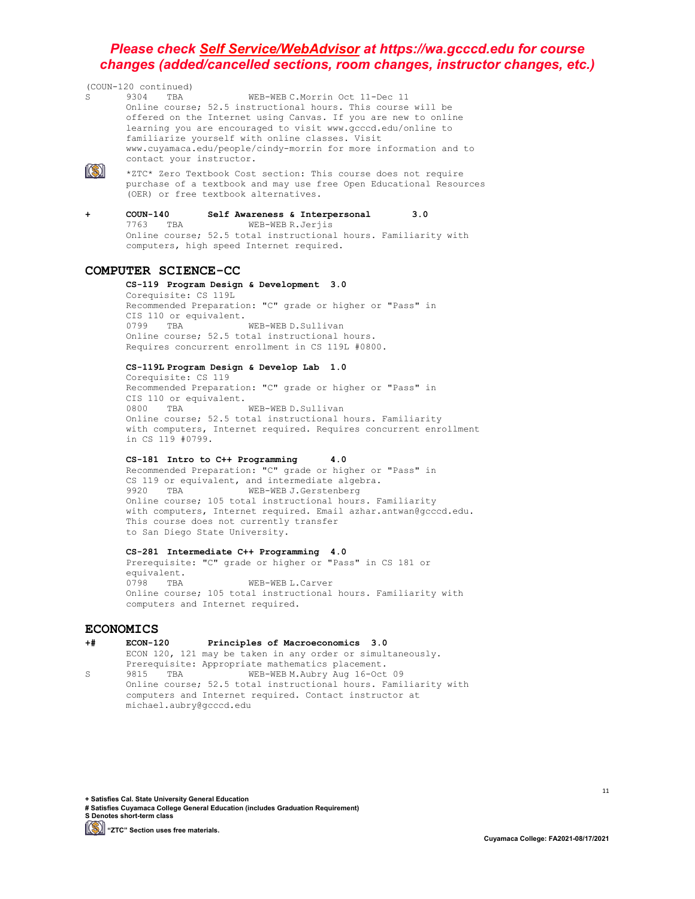(COUN-120 continued) WEB-WEB C.Morrin Oct 11-Dec 11 Online course; 52.5 instructional hours. This course will be offered on the Internet using Canvas. If you are new to online learning you are encouraged to visit www.gcccd.edu/online to familiarize yourself with online classes. Visit www.cuyamaca.edu/people/cindy-morrin for more information and to contact your instructor.  $\mathbb{S}$ \*ZTC\* Zero Textbook Cost section: This course does not require purchase of a textbook and may use free Open Educational Resources (OER) or free textbook alternatives.

**+ COUN-140 Self Awareness & Interpersonal 3.0** WEB-WEB R.Jerjis Online course; 52.5 total instructional hours. Familiarity with computers, high speed Internet required.

### **COMPUTER SCIENCE-CC**

#### **CS-119 Program Design & Development 3.0**

Corequisite: CS 119L Recommended Preparation: "C" grade or higher or "Pass" in CIS 110 or equivalent.<br>0799 TBA WEB-WEB D.Sullivan Online course; 52.5 total instructional hours. Requires concurrent enrollment in CS 119L #0800.

#### **CS-119L Program Design & Develop Lab 1.0**

Corequisite: CS 119 Recommended Preparation: "C" grade or higher or "Pass" in CIS 110 or equivalent.<br>0800 TBA WEB-WEB D.Sullivan Online course; 52.5 total instructional hours. Familiarity with computers, Internet required. Requires concurrent enrollment in CS 119 #0799.

#### **CS-181 Intro to C++ Programming 4.0**

Recommended Preparation: "C" grade or higher or "Pass" in CS 119 or equivalent, and intermediate algebra.<br>9920 TBA WEB-WEB J. Gerstenberg WEB-WEB J.Gerstenberg Online course; 105 total instructional hours. Familiarity with computers, Internet required. Email azhar.antwan@gcccd.edu. This course does not currently transfer to San Diego State University.

#### **CS-281 Intermediate C++ Programming 4.0**

Prerequisite: "C" grade or higher or "Pass" in CS 181 or equivalent.<br>0798 TBA WEB-WEB L.Carver Online course; 105 total instructional hours. Familiarity with computers and Internet required.

# ECONOMICS<br>+# ECON-120

#### **+# ECON-120 Principles of Macroeconomics 3.0**

ECON 120, 121 may be taken in any order or simultaneously. Prerequisite: Appropriate mathematics placement.<br>9815 TBA WEB-WEB M.Aubry Aug 16-Oct. S 9815 TBA WEB-WEB M.Aubry Aug 16-Oct 09 Online course; 52.5 total instructional hours. Familiarity with computers and Internet required. Contact instructor at michael.aubry@gcccd.edu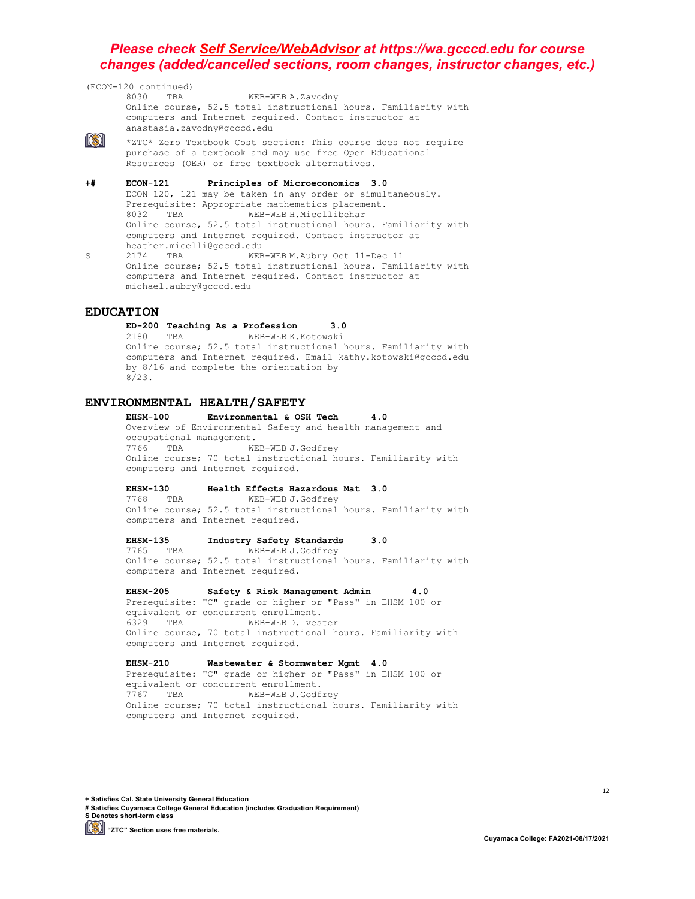(ECON-120 continued) WEB-WEB A.Zavodny Online course, 52.5 total instructional hours. Familiarity with computers and Internet required. Contact instructor at anastasia.zavodny@gcccd.edu  $\ket{(\mathbb{S})}$ \*ZTC\* Zero Textbook Cost section: This course does not require purchase of a textbook and may use free Open Educational Resources (OER) or free textbook alternatives. **+# ECON-121 Principles of Microeconomics 3.0** ECON 120, 121 may be taken in any order or simultaneously. Prerequisite: Appropriate mathematics placement.<br>8032 TBA WEB-WEB H. Micellibehar WEB-WEB H.Micellibehar Online course, 52.5 total instructional hours. Familiarity with computers and Internet required. Contact instructor at heather.micelli@gcccd.edu<br>2174 TBA WEB S 2174 TBA WEB-WEB M.Aubry Oct 11-Dec 11 Online course; 52.5 total instructional hours. Familiarity with

computers and Internet required. Contact instructor at

#### **EDUCATION**

**ED-200 Teaching As a Profession 3.0** 2180 TBA WEB-WEB K.Kotowski Online course; 52.5 total instructional hours. Familiarity with computers and Internet required. Email kathy.kotowski@gcccd.edu by 8/16 and complete the orientation by 8/23.

# **ENVIRONMENTAL HEALTH/SAFETY**

michael.aubry@gcccd.edu

**Environmental & OSH Tech 4.0** Overview of Environmental Safety and health management and occupational management.<br>7766 TBA WE WEB-WEB J.Godfrey Online course; 70 total instructional hours. Familiarity with computers and Internet required.

# **EHSM-130 Health Effects Hazardous Mat 3.0**

WEB-WEB J.Godfrey Online course; 52.5 total instructional hours. Familiarity with computers and Internet required.

#### **EHSM-135 Industry Safety Standards 3.0**

7765 TBA WEB-WEB J.Godfrey Online course; 52.5 total instructional hours. Familiarity with computers and Internet required.

#### **EHSM-205 Safety & Risk Management Admin 4.0**

Prerequisite: "C" grade or higher or "Pass" in EHSM 100 or equivalent or concurrent enrollment.<br>6329 TBA WEB-WEB D.Ives WEB-WEB D.Ivester Online course, 70 total instructional hours. Familiarity with computers and Internet required.

#### **EHSM-210 Wastewater & Stormwater Mgmt 4.0**

Prerequisite: "C" grade or higher or "Pass" in EHSM 100 or equivalent or concurrent enrollment.<br>7767 TBA WEB-WEB J.Godf WEB-WEB J.Godfrey Online course; 70 total instructional hours. Familiarity with computers and Internet required.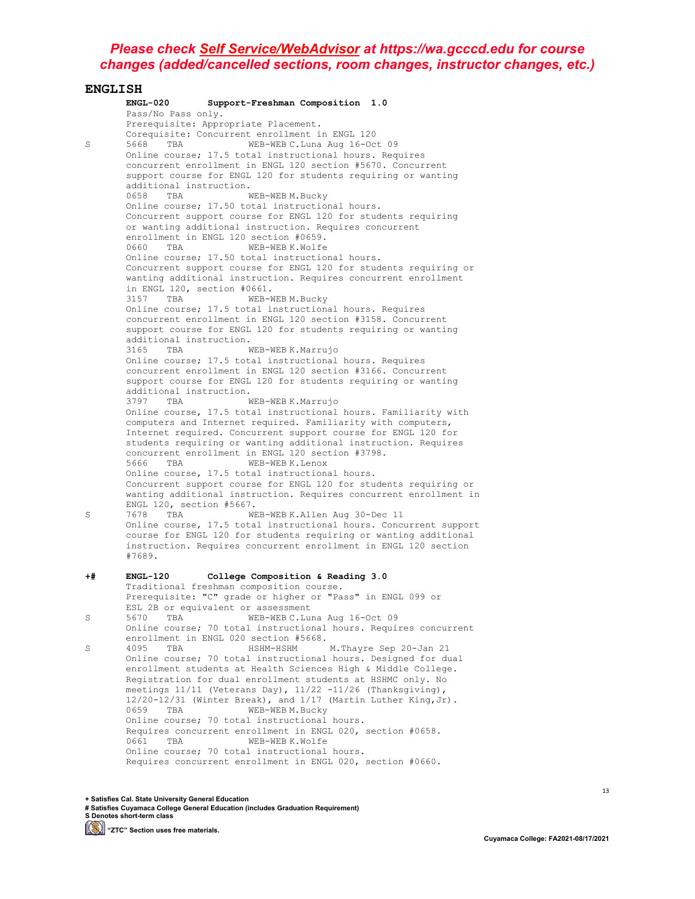**ENGLISH ENGL-020 Support-Freshman Composition 1.0** Pass/No Pass only. Prerequisite: Appropriate Placement. Corequisite: Concurrent enrollment in ENGL 120<br>5668 TBA WEB-WEB C.Luna Aug 16-Oc S 5668 TBA WEB-WEB C. Luna Aug 16-Oct 09 Online course; 17.5 total instructional hours. Requires concurrent enrollment in ENGL 120 section #5670. Concurrent support course for ENGL 120 for students requiring or wanting additional instruction.<br>0658 TBA WEB-WEBM.Bucky  $0658$  TBA Online course; 17.50 total instructional hours. Concurrent support course for ENGL 120 for students requiring or wanting additional instruction. Requires concurrent enrollment in ENGL 120 section #0659.<br>0660 TBA WEB-WEB K.Wolfe 0660 TBA Online course; 17.50 total instructional hours. Concurrent support course for ENGL 120 for students requiring or wanting additional instruction. Requires concurrent enrollment in ENGL 120, section #0661.<br>3157 TBA WEB-W WEB-WEB M.Bucky Online course; 17.5 total instructional hours. Requires concurrent enrollment in ENGL 120 section #3158. Concurrent support course for ENGL 120 for students requiring or wanting additional instruction.<br>3165 TBA M WEB-WEB K.Marrujo Online course; 17.5 total instructional hours. Requires concurrent enrollment in ENGL 120 section #3166. Concurrent support course for ENGL 120 for students requiring or wanting additional instruction.<br>3797 TBA WEB-WEB K.Marrujo 3797 TBA WEB-WEB K.Marrujo Online course, 17.5 total instructional hours. Familiarity with computers and Internet required. Familiarity with computers, Internet required. Concurrent support course for ENGL 120 for students requiring or wanting additional instruction. Requires concurrent enrollment in ENGL 120 section #3798. WEB-WEB K.Lenox Online course, 17.5 total instructional hours. Concurrent support course for ENGL 120 for students requiring or wanting additional instruction. Requires concurrent enrollment in ENGL 120, section #5667.<br>7678 TBA WE S 7678 TBA WEB-WEB K.Allen Aug 30-Dec 11 Online course, 17.5 total instructional hours. Concurrent support course for ENGL 120 for students requiring or wanting additional instruction. Requires concurrent enrollment in ENGL 120 section #7689. **+# ENGL-120 College Composition & Reading 3.0** Traditional freshman composition course. Prerequisite: "C" grade or higher or "Pass" in ENGL 099 or ESL 2B or equivalent or assessment<br>5670 TBA WEB-WEBC.Lur S 5670 TBA WEB-WEB C.Luna Aug 16-Oct 09 Online course; 70 total instructional hours. Requires concurrent enrollment in ENGL 020 section #5668. S 4095 TBA HSHM-HSHM M.Thayre Sep 20-Jan 21 Online course; 70 total instructional hours. Designed for dual enrollment students at Health Sciences High & Middle College. Registration for dual enrollment students at HSHMC only. No meetings 11/11 (Veterans Day), 11/22 -11/26 (Thanksgiving),  $12/20-12/31$  (Winter Break), and  $1/17$  (Martin Luther King, Jr).<br>0659 TBA WEB-WEBM.Bucky 0659 TBA WEB-WEB M.Bucky Online course; 70 total instructional hours. Requires concurrent enrollment in ENGL 020, section  $#0658$ .<br>0661 TBA WER-WERK Wolfe WEB-WEB K.Wolfe Online course; 70 total instructional hours. Requires concurrent enrollment in ENGL 020, section #0660.

**+ Satisfies Cal. State University General Education # Satisfies Cuyamaca College General Education (includes Graduation Requirement) S Denotes short-term class**

**(S)** "ZTC" Section uses free materials.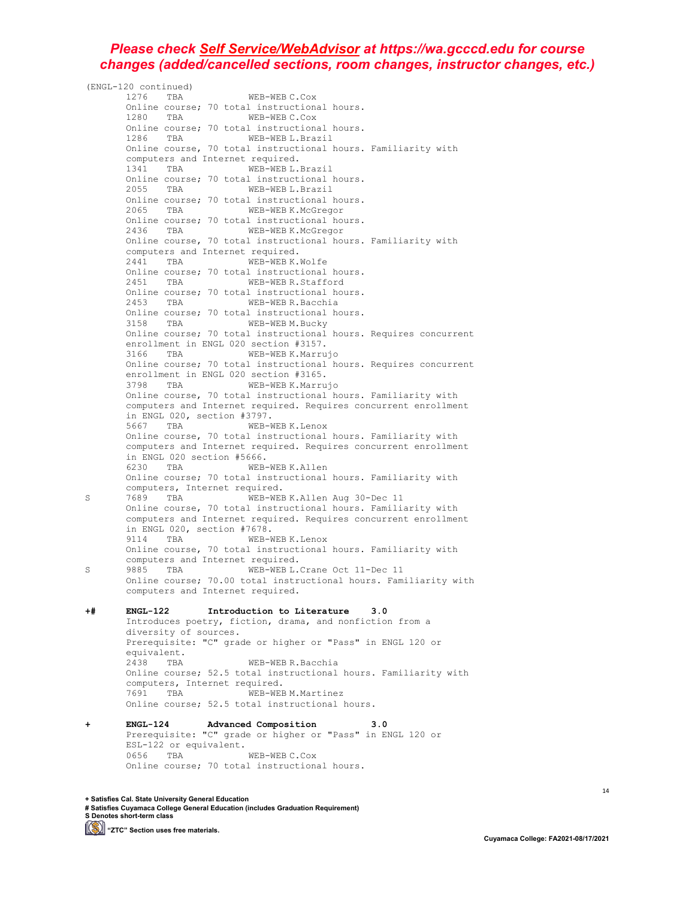(ENGL-120 continued) 1276 TBA WEB-WEB C.Cox Online course; 70 total instructional hours. 1280 TBA WEB-WEB C.Cox Online course; 70 total instructional hours.<br>1286 TBA WEB-WEB L.Brazil WEB-WEB L.Brazil Online course, 70 total instructional hours. Familiarity with computers and Internet required. 1341 TBA WEB-WEB L.Brazil Online course; 70 total instructional hours. 2055 TBA WEB-WEB L.Brazil Online course; 70 total instructional hours.<br>2065 TRA WER-WERK McGregor WEB-WEB K.McGregor Online course; 70 total instructional hours.<br>2436 TBA WEB-WEB K.McGregor WEB-WEB K.McGregor Online course, 70 total instructional hours. Familiarity with computers and Internet required.<br>2441 TBA WEB-WEBK.Wolfe 2441 TBA Online course; 70 total instructional hours.<br>2451 TBA WEB-WEB R.Stafford WEB-WEB R.Stafford Online course; 70 total instructional hours.<br>2453 TBA WEB-WEB R.Bacchia WEB-WEB R.Bacchia Online course; 70 total instructional hours.<br>3158 TBA WEB-WEBM.Bucky 3158 TBA WEB-WEB M.Bucky Online course; 70 total instructional hours. Requires concurrent enrollment in ENGL 020 section #3157.<br>3166 TBA WEB-WEB K.Marrujo 3166 TBA WEB-WEB K.Marrujo Online course; 70 total instructional hours. Requires concurrent enrollment in ENGL 020 section #3165. 3798 TBA WEB-WEB K.Marrujo Online course, 70 total instructional hours. Familiarity with computers and Internet required. Requires concurrent enrollment in ENGL 020, section #3797.<br>5667 TBA WEB-W WEB-WEB K.Lenox Online course, 70 total instructional hours. Familiarity with computers and Internet required. Requires concurrent enrollment in ENGL 020 section #5666.<br>6230 TBA WEB-WEBK.Allen 6230 TBA WEB-WEB K.Allen Online course; 70 total instructional hours. Familiarity with computers, Internet required.<br>7689 TBA WEB-WEE S 7689 TBA WEB-WEB K.Allen Aug 30-Dec 11 Online course, 70 total instructional hours. Familiarity with computers and Internet required. Requires concurrent enrollment in ENGL 020, section #7678.<br>9114 TBA WEB-W WEB-WEB K.Lenox Online course, 70 total instructional hours. Familiarity with computers and Internet required.<br>9885 TBA WEB-WEB L. S 9885 TBA WEB-WEB L.Crane Oct 11-Dec 11 Online course; 70.00 total instructional hours. Familiarity with computers and Internet required. **+# ENGL-122 Introduction to Literature 3.0** Introduces poetry, fiction, drama, and nonfiction from a diversity of sources. Prerequisite: "C" grade or higher or "Pass" in ENGL 120 or equivalent.<br>2438 TBA WEB-WEB R.Bacchia Online course; 52.5 total instructional hours. Familiarity with computers, Internet required.<br>7691 TBA WEB-WEE WEB-WEB M. Martinez Online course; 52.5 total instructional hours. **+ ENGL-124 Advanced Composition 3.0** Prerequisite: "C" grade or higher or "Pass" in ENGL 120 or ESL-122 or equivalent.<br>0656 TBA WEB-WEB C.Cox

**+ Satisfies Cal. State University General Education # Satisfies Cuyamaca College General Education (includes Graduation Requirement) S Denotes short-term class**

Online course; 70 total instructional hours.

**(S)** "ZTC" Section uses free materials.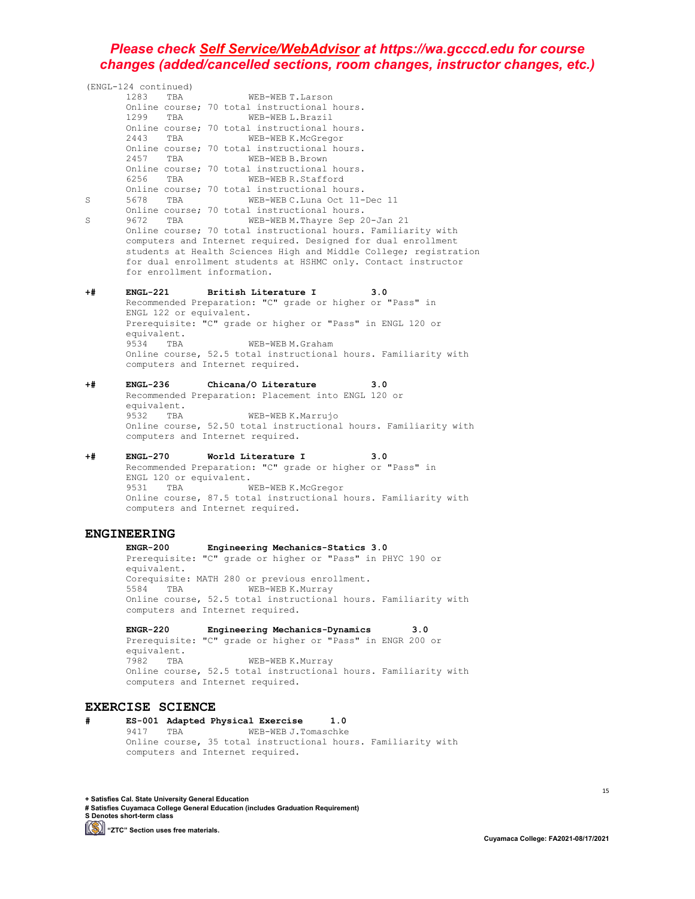(ENGL-124 continued) WEB-WEB T.Larson Online course; 70 total instructional hours. 1299 TBA WEB-WEB L.Brazil Online course; 70 total instructional hours.<br>2443 TBA WEB-WEB K.McGregor WEB-WEB K.McGregor Online course; 70 total instructional hours.<br>2457 TBA WEB-WEB B.Brown WEB-WEB B.Brown Online course; 70 total instructional hours.<br>6256 TBA WEB-WEB R.Stafford WEB-WEB R.Stafford Online course; 70 total instructional hours. S 5678 TBA WEB-WEB C.Luna Oct 11-Dec 11 Online course; 70 total instructional hours. S 9672 TBA WEB-WEB M.Thayre Sep 20-Jan 21 Online course; 70 total instructional hours. Familiarity with computers and Internet required. Designed for dual enrollment students at Health Sciences High and Middle College; registration for dual enrollment students at HSHMC only. Contact instructor for enrollment information. **+# ENGL-221 British Literature I 3.0** Recommended Preparation: "C" grade or higher or "Pass" in ENGL 122 or equivalent. Prerequisite: "C" grade or higher or "Pass" in ENGL 120 or equivalent.<br>9534 TBA WEB-WEB M.Graham Online course, 52.5 total instructional hours. Familiarity with computers and Internet required. **+# ENGL-236 Chicana/O Literature 3.0** Recommended Preparation: Placement into ENGL 120 or equivalent.<br>9532 TBA WEB-WEB K.Marrujo Online course, 52.50 total instructional hours. Familiarity with computers and Internet required. **+# ENGL-270 World Literature I 3.0** Recommended Preparation: "C" grade or higher or "Pass" in ENGL 120 or equivalent.<br>9531 TBA W WEB-WEB K.McGregor Online course, 87.5 total instructional hours. Familiarity with computers and Internet required. **ENGINEERING**<br>ENGR-200 **ENGR-200 Engineering Mechanics-Statics 3.0** Prerequisite: "C" grade or higher or "Pass" in PHYC 190 or equivalent. Corequisite: MATH 280 or previous enrollment.<br>5584 TBA WEB-WEB K.Murray 5584 TBA WEB-WEB K.Murray Online course, 52.5 total instructional hours. Familiarity with computers and Internet required. **ENGR-220 Engineering Mechanics-Dynamics 3.0**

Prerequisite: "C" grade or higher or "Pass" in ENGR 200 or equivalent.<br>7982 TBA WEB-WEB K.Murray Online course, 52.5 total instructional hours. Familiarity with computers and Internet required.

#### **EXERCISE SCIENCE**

**# ES-001 Adapted Physical Exercise 1.0** WEB-WEB J.Tomaschke Online course, 35 total instructional hours. Familiarity with computers and Internet required.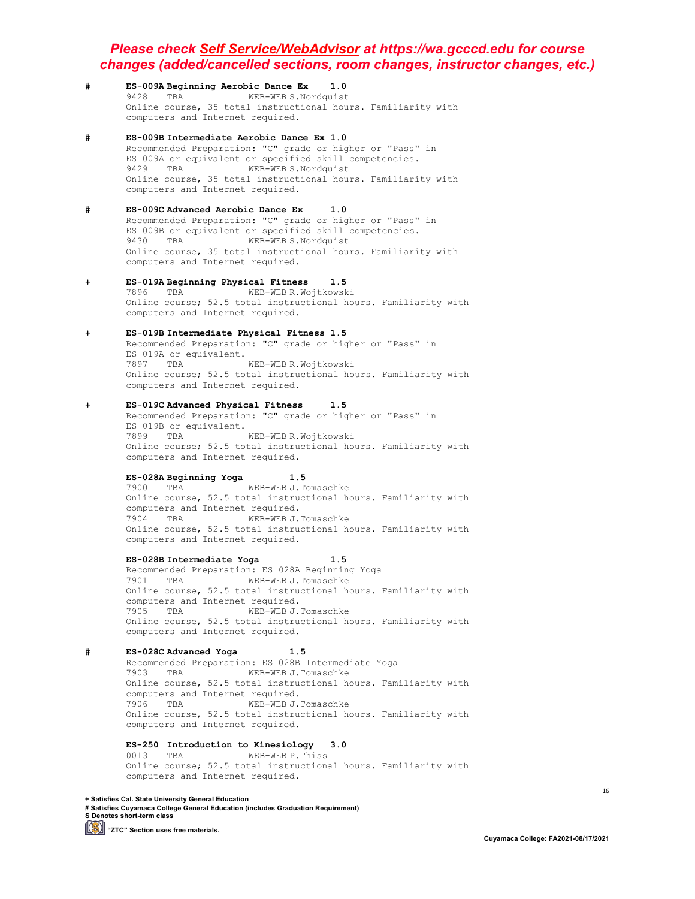- **# ES-009A Beginning Aerobic Dance Ex 1.0** 9428 TBA WEB-WEB S.Nordquist Online course, 35 total instructional hours. Familiarity with computers and Internet required.
- **# ES-009B Intermediate Aerobic Dance Ex 1.0** Recommended Preparation: "C" grade or higher or "Pass" in ES 009A or equivalent or specified skill competencies.<br>9429 TBA WEB-WEBS.Nordquist WEB-WEB S.Nordquist Online course, 35 total instructional hours. Familiarity with computers and Internet required.
- **# ES-009C Advanced Aerobic Dance Ex 1.0** Recommended Preparation: "C" grade or higher or "Pass" in ES 009B or equivalent or specified skill competencies.<br>9430 TBA WEB-WEB S.Nordquist WEB-WEB S.Nordquist Online course, 35 total instructional hours. Familiarity with computers and Internet required.
- **+ ES-019A Beginning Physical Fitness 1.5** WEB-WEB R.Wojtkowski Online course; 52.5 total instructional hours. Familiarity with computers and Internet required.
- **+ ES-019B Intermediate Physical Fitness 1.5** Recommended Preparation: "C" grade or higher or "Pass" in ES 019A or equivalent. 7897 TBA WEB-WEB R.Wojtkowski Online course; 52.5 total instructional hours. Familiarity with computers and Internet required.
- **+ ES-019C Advanced Physical Fitness 1.5** Recommended Preparation: "C" grade or higher or "Pass" in ES 019B or equivalent.<br>7899 TBA WEB-WEB R.Wojtkowski Online course; 52.5 total instructional hours. Familiarity with computers and Internet required.

**ES-028A Beginning Yoga 1.5** WEB-WEB J.Tomaschke Online course, 52.5 total instructional hours. Familiarity with computers and Internet required. 7904 TBA WEB-WEB J.Tomaschke Online course, 52.5 total instructional hours. Familiarity with computers and Internet required.

**ES-028B Intermediate Yoga 1.5** Recommended Preparation: ES 028A Beginning Yoga<br>7901 TBA WEB-WEBJ J Tomaschke WEB-WEB J.Tomaschke Online course, 52.5 total instructional hours. Familiarity with computers and Internet required.<br>7905 TBA WEB-WEB J.Tomaschke 7905 TBA WEB-WEB J.Tomaschke Online course, 52.5 total instructional hours. Familiarity with computers and Internet required.

**# ES-028C Advanced Yoga 1.5** Recommended Preparation: ES 028B Intermediate Yoga<br>7903 TBA WEB-WEB J.Tomaschke 7903 TBA Online course, 52.5 total instructional hours. Familiarity with computers and Internet required.<br>7906 TBA WEB-WEB J. WEB-WEB J.Tomaschke Online course, 52.5 total instructional hours. Familiarity with computers and Internet required.

**ES-250 Introduction to Kinesiology 3.0** WEB-WEB P.Thiss Online course; 52.5 total instructional hours. Familiarity with computers and Internet required.

**+ Satisfies Cal. State University General Education**

**# Satisfies Cuyamaca College General Education (includes Graduation Requirement) S Denotes short-term class (S)** "ZTC" Section uses free materials.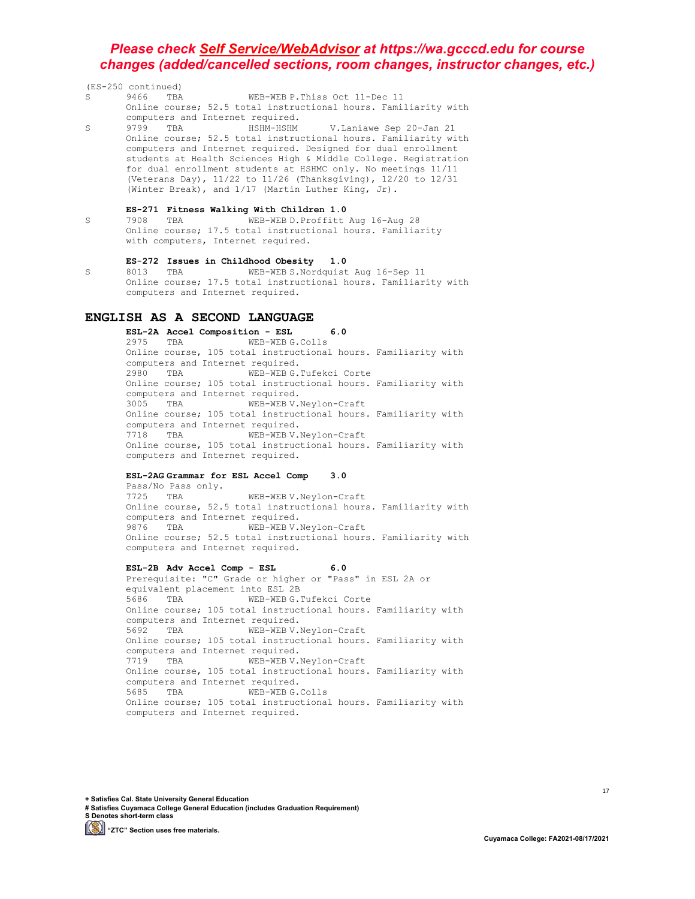| (ES-250 continued) |      |                                  |                                                    |                                                                       |
|--------------------|------|----------------------------------|----------------------------------------------------|-----------------------------------------------------------------------|
| S.                 |      | 9466 TBA                         | WEB-WEB P. Thiss Oct 11-Dec 11                     |                                                                       |
|                    |      |                                  |                                                    | Online course; 52.5 total instructional hours. Familiarity with       |
|                    |      | computers and Internet required. |                                                    |                                                                       |
| S.                 | 9799 | TBA                              |                                                    | HSHM-HSHM V.Laniawe Sep 20-Jan 21                                     |
|                    |      |                                  |                                                    | Online course; 52.5 total instructional hours. Familiarity with       |
|                    |      |                                  |                                                    | computers and Internet required. Designed for dual enrollment         |
|                    |      |                                  |                                                    | students at Health Sciences High & Middle College. Registration       |
|                    |      |                                  |                                                    | for dual enrollment students at HSHMC only. No meetings 11/11         |
|                    |      |                                  |                                                    | (Veterans Day), $11/22$ to $11/26$ (Thanksqiving), $12/20$ to $12/31$ |
|                    |      |                                  | (Winter Break), and 1/17 (Martin Luther King, Jr). |                                                                       |
|                    |      |                                  | ES-271 Fitness Walking With Children 1.0           |                                                                       |
| S                  | 7908 | <b>TBA</b>                       |                                                    | WEB-WEB D.Proffitt Aug 16-Aug 28                                      |
|                    |      |                                  |                                                    | Online course; 17.5 total instructional hours. Familiarity            |

with computers, Internet required.

# **ES-272 Issues in Childhood Obesity 1.0**

S 8013 TBA WEB-WEB S.Nordquist Aug 16-Sep 11 Online course; 17.5 total instructional hours. Familiarity with computers and Internet required.

### **ENGLISH AS A SECOND LANGUAGE**

**ESL-2A Accel Composition - ESL 6.0** WEB-WEB G.Colls Online course, 105 total instructional hours. Familiarity with computers and Internet required.<br>2980 TBA WEB-WEBG. WEB-WEB G.Tufekci Corte Online course; 105 total instructional hours. Familiarity with computers and Internet required.<br>3005 TBA WEB-WEB V. WEB-WEB V.Neylon-Craft Online course; 105 total instructional hours. Familiarity with computers and Internet required. 7718 TBA WEB-WEB V.Neylon-Craft Online course, 105 total instructional hours. Familiarity with computers and Internet required.

#### **ESL-2AG Grammar for ESL Accel Comp 3.0**

Pass/No Pass only.<br>7725 TBA WEB-WEB V.Neylon-Craft Online course, 52.5 total instructional hours. Familiarity with computers and Internet required.<br>9876 TBA WEB-WEB V. WEB-WEB V.Neylon-Craft Online course; 52.5 total instructional hours. Familiarity with computers and Internet required.

#### **ESL-2B Adv Accel Comp - ESL 6.0**

Prerequisite: "C" Grade or higher or "Pass" in ESL 2A or equivalent placement into ESL 2B<br>5686 TBA WEB-WEB G.T WEB-WEB G.Tufekci Corte Online course; 105 total instructional hours. Familiarity with computers and Internet required.<br>5692 TBA WEB-WEB V. WEB-WEB V.Neylon-Craft Online course; 105 total instructional hours. Familiarity with computers and Internet required.<br>7719 TBA WEB-WEB V. WEB-WEB V.Neylon-Craft Online course, 105 total instructional hours. Familiarity with computers and Internet required.<br>5685 TBA WEB-WEBG. WEB-WEB G.Colls Online course; 105 total instructional hours. Familiarity with computers and Internet required.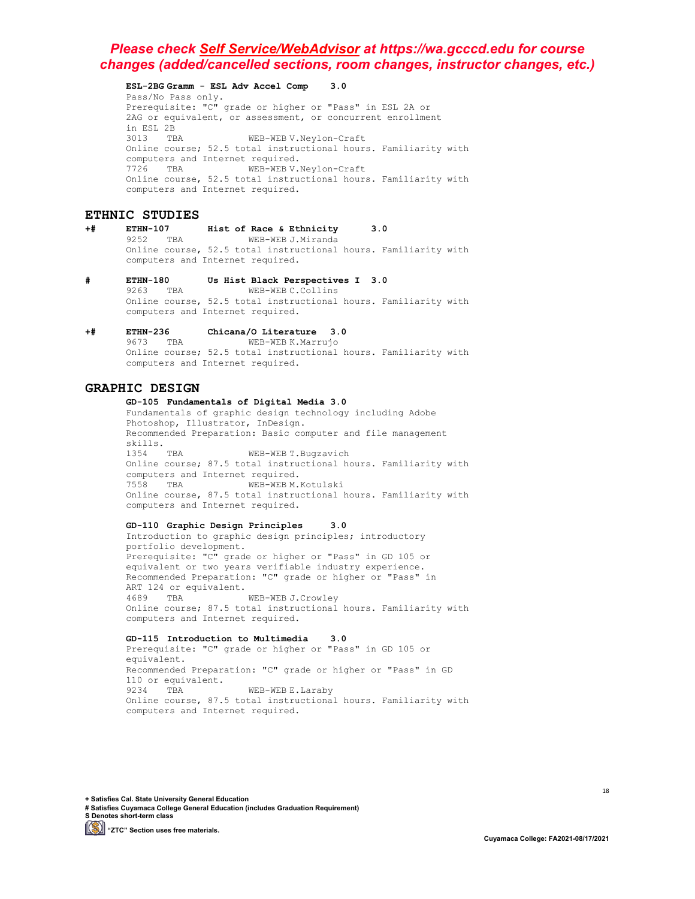**ESL-2BG Gramm - ESL Adv Accel Comp 3.0** Pass/No Pass only. Prerequisite: "C" grade or higher or "Pass" in ESL 2A or 2AG or equivalent, or assessment, or concurrent enrollment in ESL 2B WEB-WEB V.Neylon-Craft Online course; 52.5 total instructional hours. Familiarity with computers and Internet required.<br>7726 TBA WEB-WEB V. WEB-WEB V.Neylon-Craft Online course, 52.5 total instructional hours. Familiarity with computers and Internet required.

### **ETHNIC STUDIES**

#### **+# ETHN-107 Hist of Race & Ethnicity 3.0** WEB-WEB J.Miranda Online course, 52.5 total instructional hours. Familiarity with computers and Internet required.

- **# ETHN-180 Us Hist Black Perspectives I 3.0** WEB-WEB C.Collins Online course, 52.5 total instructional hours. Familiarity with computers and Internet required.
- **+# ETHN-236 Chicana/O Literature 3.0** WEB-WEB K.Marrujo Online course; 52.5 total instructional hours. Familiarity with computers and Internet required.

#### **GRAPHIC DESIGN**

#### **GD-105 Fundamentals of Digital Media 3.0** Fundamentals of graphic design technology including Adobe Photoshop, Illustrator, InDesign. Recommended Preparation: Basic computer and file management skills.<br>1354 TRA WEB-WEB T.Bugzavich Online course; 87.5 total instructional hours. Familiarity with computers and Internet required. 7558 TBA WEB-WEB M.Kotulski Online course, 87.5 total instructional hours. Familiarity with computers and Internet required.

#### **GD-110 Graphic Design Principles 3.0**

Introduction to graphic design principles; introductory portfolio development. Prerequisite: "C" grade or higher or "Pass" in GD 105 or equivalent or two years verifiable industry experience. Recommended Preparation: "C" grade or higher or "Pass" in ART 124 or equivalent.<br>4689 TRA WEB-WEB J.Crowley Online course; 87.5 total instructional hours. Familiarity with computers and Internet required.

#### **GD-115 Introduction to Multimedia 3.0** Prerequisite: "C" grade or higher or "Pass" in GD 105 or equivalent. Recommended Preparation: "C" grade or higher or "Pass" in GD 110 or equivalent.<br>9234 TBA WEB-WEB E.Laraby Online course, 87.5 total instructional hours. Familiarity with computers and Internet required.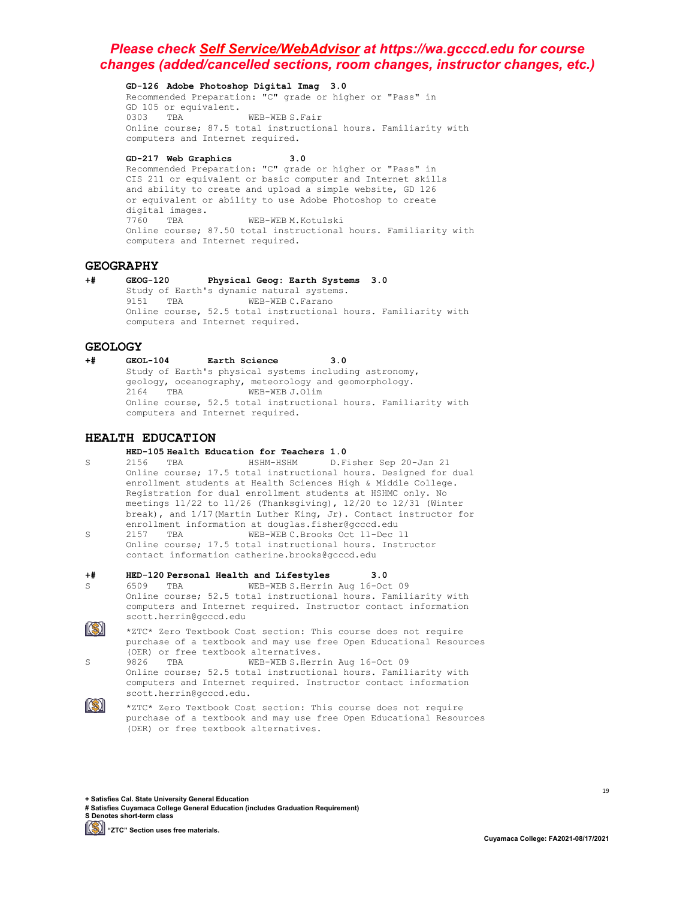**GD-126 Adobe Photoshop Digital Imag 3.0**

Recommended Preparation: "C" grade or higher or "Pass" in GD 105 or equivalent.<br>0303 TRA WEB-WEB S. Fair Online course; 87.5 total instructional hours. Familiarity with computers and Internet required.

**GD-217 Web Graphics 3.0**

Recommended Preparation: "C" grade or higher or "Pass" in CIS 211 or equivalent or basic computer and Internet skills and ability to create and upload a simple website, GD 126 or equivalent or ability to use Adobe Photoshop to create digital images.<br>7760 TBA WEB-WEB M.Kotulski Online course; 87.50 total instructional hours. Familiarity with computers and Internet required.

#### **GEOGRAPHY**

**+# GEOG-120 Physical Geog: Earth Systems 3.0** Study of Earth's dynamic natural systems.<br>9151 TBA WEB-WEBC.Farano 9151 TBA WEB-WEB C.Farano Online course, 52.5 total instructional hours. Familiarity with computers and Internet required.

GEOLOGY<br>+# GEOL-104 **+# GEOL-104 Earth Science 3.0** Study of Earth's physical systems including astronomy, geology, oceanography, meteorology and geomorphology.<br>2164 TBA WEB-WEB J.Olim WEB-WEB J.Olim Online course, 52.5 total instructional hours. Familiarity with computers and Internet required.

### **HEALTH EDUCATION**

- **HED-105 Health Education for Teachers 1.0**
- S 2156 TBA HSHM-HSHM D.Fisher Sep 20-Jan 21 Online course; 17.5 total instructional hours. Designed for dual enrollment students at Health Sciences High & Middle College. Registration for dual enrollment students at HSHMC only. No meetings 11/22 to 11/26 (Thanksgiving), 12/20 to 12/31 (Winter break), and 1/17(Martin Luther King, Jr). Contact instructor for enrollment information at douglas.fisher@gcccd.edu<br>2157 TBA WEB-WEBC.Brooks Oct 11-Dec
- S 2157 TBA WEB-WEB C.Brooks Oct 11-Dec 11 Online course; 17.5 total instructional hours. Instructor contact information catherine.brooks@gcccd.edu

#### **+# HED-120 Personal Health and Lifestyles 3.0**

- S 6509 TBA WEB-WEB S.Herrin Aug 16-Oct 09 Online course; 52.5 total instructional hours. Familiarity with computers and Internet required. Instructor contact information scott.herrin@gcccd.edu
- 1(S) | \*ZTC\* Zero Textbook Cost section: This course does not require purchase of a textbook and may use free Open Educational Resources (OER) or free textbook alternatives.<br>9826 TBA WEB-WEB S.Herr
- S 9826 TBA WEB-WEB S.Herrin Aug 16-Oct 09 Online course; 52.5 total instructional hours. Familiarity with computers and Internet required. Instructor contact information scott.herrin@gcccd.edu.
- $\mathbb{S}$

\*ZTC\* Zero Textbook Cost section: This course does not require purchase of a textbook and may use free Open Educational Resources (OER) or free textbook alternatives.

**+ Satisfies Cal. State University General Education**

**# Satisfies Cuyamaca College General Education (includes Graduation Requirement) S Denotes short-term class**

**(S)** "ZTC" Section uses free materials.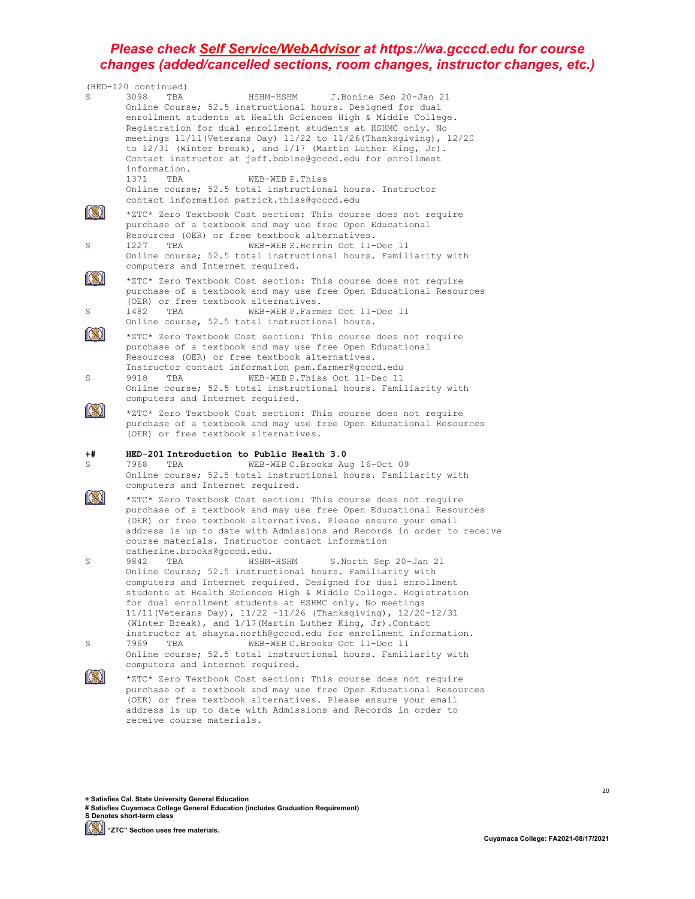|         | (HED-120 continued)                                                                                                                                                                                                                                                                                                                                                                                                                                                                                                                                                         |
|---------|-----------------------------------------------------------------------------------------------------------------------------------------------------------------------------------------------------------------------------------------------------------------------------------------------------------------------------------------------------------------------------------------------------------------------------------------------------------------------------------------------------------------------------------------------------------------------------|
| S       | 3098<br>TBA<br>J.Bonine Sep 20-Jan 21<br>HSHM-HSHM<br>Online Course; 52.5 instructional hours. Designed for dual<br>enrollment students at Health Sciences High & Middle College.<br>Registration for dual enrollment students at HSHMC only. No<br>meetings $11/11$ (Veterans Day) $11/22$ to $11/26$ (Thanksgiving), $12/20$<br>to $12/31$ (Winter break), and $1/17$ (Martin Luther King, Jr).<br>Contact instructor at jeff.bobine@gcccd.edu for enrollment<br>information.                                                                                             |
|         | 1371 TBA<br>WEB-WEB P.Thiss<br>Online course; 52.5 total instructional hours. Instructor<br>contact information patrick.thiss@gcccd.edu                                                                                                                                                                                                                                                                                                                                                                                                                                     |
| S       | *ZTC* Zero Textbook Cost section: This course does not require<br>purchase of a textbook and may use free Open Educational<br>Resources (OER) or free textbook alternatives.<br>WEB-WEB S. Herrin Oct 11-Dec 11<br>1227<br>TBA<br>Online course; 52.5 total instructional hours. Familiarity with<br>computers and Internet required.                                                                                                                                                                                                                                       |
| S       | *ZTC* Zero Textbook Cost section: This course does not require<br>purchase of a textbook and may use free Open Educational Resources<br>(OER) or free textbook alternatives.<br>1482<br>TBA<br>WEB-WEB P.Farmer Oct 11-Dec 11<br>Online course, 52.5 total instructional hours.                                                                                                                                                                                                                                                                                             |
| S       | *ZTC* Zero Textbook Cost section: This course does not require<br>purchase of a textbook and may use free Open Educational<br>Resources (OER) or free textbook alternatives.<br>Instructor contact information pam.farmer@gcccd.edu<br>9918<br>WEB-WEB P. Thiss Oct 11-Dec 11<br>TBA<br>Online course; 52.5 total instructional hours. Familiarity with<br>computers and Internet required.                                                                                                                                                                                 |
|         | *ZTC* Zero Textbook Cost section: This course does not require<br>purchase of a textbook and may use free Open Educational Resources<br>(OER) or free textbook alternatives.                                                                                                                                                                                                                                                                                                                                                                                                |
| +#<br>S | HED-201 Introduction to Public Health 3.0<br>7968<br>WEB-WEB C. Brooks Aug 16-Oct 09<br>TBA<br>Online course; 52.5 total instructional hours. Familiarity with<br>computers and Internet required.                                                                                                                                                                                                                                                                                                                                                                          |
|         | *ZTC* Zero Textbook Cost section: This course does not require<br>purchase of a textbook and may use free Open Educational Resources<br>(OER) or free textbook alternatives. Please ensure your email<br>address is up to date with Admissions and Records in order to receive<br>course materials. Instructor contact information<br>catherine.brooks@gcccd.edu.                                                                                                                                                                                                           |
| S<br>S  | 9842<br>HSHM-HSHM<br>S.North Sep 20-Jan 21<br>TBA<br>Online Course; 52.5 instructional hours. Familiarity with<br>computers and Internet required. Designed for dual enrollment<br>students at Health Sciences High & Middle College. Registration<br>for dual enrollment students at HSHMC only. No meetings<br>$11/11$ (Veterans Day), $11/22 - 11/26$ (Thanksgiving), $12/20 - 12/31$<br>(Winter Break), and 1/17 (Martin Luther King, Jr). Contact<br>instructor at shayna.north@gcccd.edu for enrollment information.<br>WEB-WEB C.Brooks Oct 11-Dec 11<br>7969<br>TBA |
|         | Online course; 52.5 total instructional hours. Familiarity with<br>computers and Internet required.                                                                                                                                                                                                                                                                                                                                                                                                                                                                         |
|         | *ZTC* Zero Textbook Cost section: This course does not require<br>purchase of a textbook and may use free Open Educational Resources<br>(OER) or free textbook alternatives. Please ensure your email                                                                                                                                                                                                                                                                                                                                                                       |

address is up to date with Admissions and Records in order to

**+ Satisfies Cal. State University General Education**

receive course materials.

**# Satisfies Cuyamaca College General Education (includes Graduation Requirement) S Denotes short-term class**

**[Simma)** "ZTC" Section uses free materials.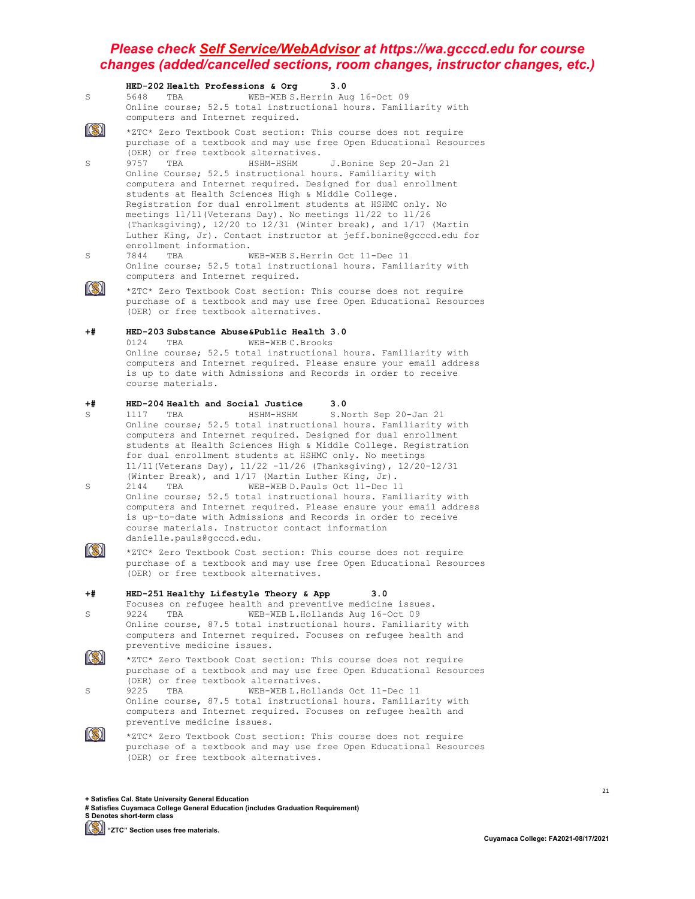|         | HED-202 Health Professions & Org<br>3.0                                                                                                                                                                                                                                                                                                                                                                                                                                                                                                     |
|---------|---------------------------------------------------------------------------------------------------------------------------------------------------------------------------------------------------------------------------------------------------------------------------------------------------------------------------------------------------------------------------------------------------------------------------------------------------------------------------------------------------------------------------------------------|
| S       | 5648<br>WEB-WEB S. Herrin Aug 16-Oct 09<br>TBA<br>Online course; 52.5 total instructional hours. Familiarity with<br>computers and Internet required.                                                                                                                                                                                                                                                                                                                                                                                       |
|         | *ZTC* Zero Textbook Cost section: This course does not require<br>purchase of a textbook and may use free Open Educational Resources<br>(OER) or free textbook alternatives.                                                                                                                                                                                                                                                                                                                                                                |
| S       | 9757<br>HSHM-HSHM<br>J.Bonine Sep 20-Jan 21<br>TBA<br>Online Course; 52.5 instructional hours. Familiarity with<br>computers and Internet required. Designed for dual enrollment<br>students at Health Sciences High & Middle College.<br>Registration for dual enrollment students at HSHMC only. No<br>meetings 11/11 (Veterans Day). No meetings 11/22 to 11/26<br>(Thanksgiving), $12/20$ to $12/31$ (Winter break), and $1/17$ (Martin<br>Luther King, Jr). Contact instructor at jeff.bonine@gcccd.edu for<br>enrollment information. |
| S       | 7844<br>WEB-WEB S. Herrin Oct 11-Dec 11<br>TBA<br>Online course; 52.5 total instructional hours. Familiarity with<br>computers and Internet required.                                                                                                                                                                                                                                                                                                                                                                                       |
|         | *ZTC* Zero Textbook Cost section: This course does not require<br>purchase of a textbook and may use free Open Educational Resources<br>(OER) or free textbook alternatives.                                                                                                                                                                                                                                                                                                                                                                |
| +#      | HED-203 Substance Abuse&Public Health 3.0<br>0124<br>TBA<br>WEB-WEB C. Brooks<br>Online course; 52.5 total instructional hours. Familiarity with<br>computers and Internet required. Please ensure your email address<br>is up to date with Admissions and Records in order to receive<br>course materials.                                                                                                                                                                                                                                 |
| +#<br>S | HED-204 Health and Social Justice<br>3.0<br>1117<br>HSHM-HSHM<br>S. North Sep 20-Jan 21<br>TBA<br>Online course; 52.5 total instructional hours. Familiarity with<br>computers and Internet required. Designed for dual enrollment<br>students at Health Sciences High & Middle College. Registration<br>for dual enrollment students at HSHMC only. No meetings<br>$11/11$ (Veterans Day), $11/22 -11/26$ (Thanksgiving), $12/20 -12/31$                                                                                                   |
| S       | (Winter Break), and 1/17 (Martin Luther King, Jr).<br>2144<br>WEB-WEB D. Pauls Oct 11-Dec 11<br>TBA<br>Online course; 52.5 total instructional hours. Familiarity with<br>computers and Internet required. Please ensure your email address<br>is up-to-date with Admissions and Records in order to receive<br>course materials. Instructor contact information<br>danielle.pauls@gcccd.edu.                                                                                                                                               |
|         | *ZTC* Zero Textbook Cost section: This course does not require<br>purchase of a textbook and may use free Open Educational Resources<br>(OER) or free textbook alternatives.                                                                                                                                                                                                                                                                                                                                                                |
| +#      | HED-251 Healthy Lifestyle Theory & App<br>3.0                                                                                                                                                                                                                                                                                                                                                                                                                                                                                               |
| S       | Focuses on refugee health and preventive medicine issues.<br>9224<br>WEB-WEB L.Hollands Aug 16-Oct 09<br>TBA<br>Online course, 87.5 total instructional hours. Familiarity with<br>computers and Internet required. Focuses on refugee health and<br>preventive medicine issues.                                                                                                                                                                                                                                                            |
|         | *ZTC* Zero Textbook Cost section: This course does not require<br>purchase of a textbook and may use free Open Educational Resources<br>(OER) or free textbook alternatives.                                                                                                                                                                                                                                                                                                                                                                |
| S       | 9225<br>TBA<br>WEB-WEB L.Hollands Oct 11-Dec 11<br>Online course, 87.5 total instructional hours. Familiarity with<br>computers and Internet required. Focuses on refugee health and<br>preventive medicine issues.                                                                                                                                                                                                                                                                                                                         |
|         | *ZTC* Zero Textbook Cost section: This course does not require<br>purchase of a textbook and may use free Open Educational Resources<br>(OER) or free textbook alternatives.                                                                                                                                                                                                                                                                                                                                                                |

**+ Satisfies Cal. State University General Education # Satisfies Cuyamaca College General Education (includes Graduation Requirement) S Denotes short-term class**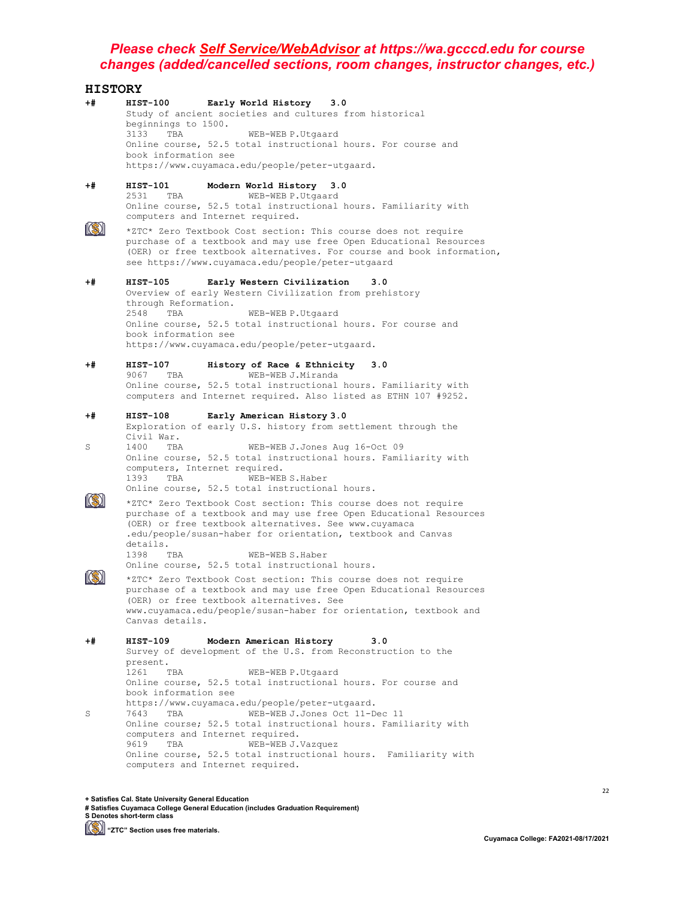| <b>HISTORY</b> |                                                                         |                                                                                                                                                                                                                                                                                                                                     |
|----------------|-------------------------------------------------------------------------|-------------------------------------------------------------------------------------------------------------------------------------------------------------------------------------------------------------------------------------------------------------------------------------------------------------------------------------|
| +#             | HIST-100<br>beginnings to 1500.<br>3133<br>TBA<br>book information see  | Early World History 3.0<br>Study of ancient societies and cultures from historical<br>WEB-WEB P.Utgaard<br>Online course, 52.5 total instructional hours. For course and<br>https://www.cuyamaca.edu/people/peter-utgaard.                                                                                                          |
| +#             | HIST-101<br>2531<br>TBA                                                 | Modern World History 3.0<br>WEB-WEB P.Utgaard<br>Online course, 52.5 total instructional hours. Familiarity with<br>computers and Internet required.                                                                                                                                                                                |
|                |                                                                         | *ZTC* Zero Textbook Cost section: This course does not require<br>purchase of a textbook and may use free Open Educational Resources<br>(OER) or free textbook alternatives. For course and book information,<br>see https://www.cuyamaca.edu/people/peter-utgaard                                                                  |
| +#             | HIST-105<br>through Reformation.<br>2548<br>TBA<br>book information see | Early Western Civilization<br>3.0<br>Overview of early Western Civilization from prehistory<br>WEB-WEB P.Utgaard<br>Online course, 52.5 total instructional hours. For course and<br>https://www.cuyamaca.edu/people/peter-utgaard.                                                                                                 |
| +#             | HIST-107<br>9067<br>TBA                                                 | History of Race & Ethnicity 3.0<br>WEB-WEB J.Miranda<br>Online course, 52.5 total instructional hours. Familiarity with<br>computers and Internet required. Also listed as ETHN 107 #9252.                                                                                                                                          |
| +#<br>S        | HIST-108<br>Civil War.<br>1400<br>TBA<br>1393<br>TBA                    | Early American History 3.0<br>Exploration of early U.S. history from settlement through the<br>WEB-WEB J.Jones Aug 16-Oct 09<br>Online course, 52.5 total instructional hours. Familiarity with<br>computers, Internet required.<br>WEB-WEB S.Haber<br>Online course, 52.5 total instructional hours.                               |
|                | details.<br>1398<br>TBA                                                 | *ZTC* Zero Textbook Cost section: This course does not require<br>purchase of a textbook and may use free Open Educational Resources<br>(OER) or free textbook alternatives. See www.cuyamaca<br>.edu/people/susan-haber for orientation, textbook and Canvas<br>WEB-WEB S. Haber<br>Online course, 52.5 total instructional hours. |
|                | Canvas details.                                                         | *ZTC* Zero Textbook Cost section: This course does not require<br>purchase of a textbook and may use free Open Educational Resources<br>(OER) or free textbook alternatives. See<br>www.cuyamaca.edu/people/susan-haber for orientation, textbook and                                                                               |
| +#             | HIST-109<br>present.<br>1261<br>TBA<br>book information see             | Modern American History<br>3.0<br>Survey of development of the U.S. from Reconstruction to the<br>WEB-WEB P.Utgaard<br>Online course, 52.5 total instructional hours. For course and<br>https://www.cuyamaca.edu/people/peter-utgaard.                                                                                              |
| S              | 7643<br>TBA<br>9619<br>TBA                                              | WEB-WEB J.Jones Oct 11-Dec 11<br>Online course; 52.5 total instructional hours. Familiarity with<br>computers and Internet required.<br>WEB-WEB J.Vazquez<br>Online course, 52.5 total instructional hours. Familiarity with<br>computers and Internet required.                                                                    |

**+ Satisfies Cal. State University General Education # Satisfies Cuyamaca College General Education (includes Graduation Requirement) S Denotes short-term class**

**[Simma)** "ZTC" Section uses free materials.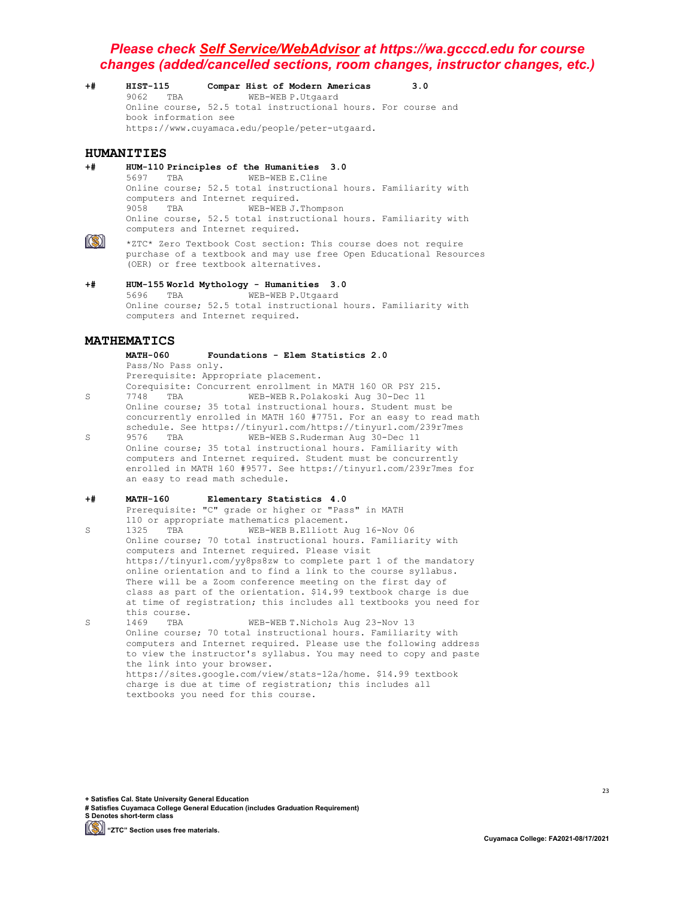**+# HIST-115 Compar Hist of Modern Americas 3.0** 9062 TBA WEB-WEB P.Utgaard Online course, 52.5 total instructional hours. For course and book information see https://www.cuyamaca.edu/people/peter-utgaard.

#### **HUMANITIES**

**+# HUM-110 Principles of the Humanities 3.0** 5697 TBA WEB-WEB E.Cline Online course; 52.5 total instructional hours. Familiarity with computers and Internet required.<br>9058 TBA WEB-WER.L. WEB-WEB J.Thompson Online course, 52.5 total instructional hours. Familiarity with computers and Internet required.



\*ZTC\* Zero Textbook Cost section: This course does not require purchase of a textbook and may use free Open Educational Resources (OER) or free textbook alternatives.

**+# HUM-155 World Mythology - Humanities 3.0** 5696 TBA WEB-WEB P.Utgaard Online course; 52.5 total instructional hours. Familiarity with computers and Internet required.

# **MATHEMATICS**

#### **MATH-060 Foundations - Elem Statistics 2.0** Pass/No Pass only.

Prerequisite: Appropriate placement.

- Corequisite: Concurrent enrollment in MATH 160 OR PSY 215.<br>7748 TBA WEB-WEB R.Polakoski Aug 30-Dec 11 S 7748 TBA WEB-WEB R.Polakoski Aug 30-Dec 11 Online course; 35 total instructional hours. Student must be concurrently enrolled in MATH 160 #7751. For an easy to read math schedule. See https://tinyurl.com/https://tinyurl.com/239r7mes<br>9576 TBA WEB-WEB S.Ruderman Aug 30-Dec 11
- S 9576 TBA WEB-WEB S.Ruderman Aug 30-Dec 11 Online course; 35 total instructional hours. Familiarity with computers and Internet required. Student must be concurrently enrolled in MATH 160 #9577. See https://tinyurl.com/239r7mes for an easy to read math schedule.

#### **+# MATH-160 Elementary Statistics 4.0**

Prerequisite: "C" grade or higher or "Pass" in MATH 110 or appropriate mathematics placement.<br>1325 TBA WEB-WEB B.Elliott A

- S 1325 TBA WEB-WEB B.Elliott Aug 16-Nov 06 Online course; 70 total instructional hours. Familiarity with computers and Internet required. Please visit https://tinyurl.com/yy8ps8zw to complete part 1 of the mandatory online orientation and to find a link to the course syllabus. There will be a Zoom conference meeting on the first day of class as part of the orientation. \$14.99 textbook charge is due at time of registration; this includes all textbooks you need for this course.<br>1469 TBA
- S 1469 TBA WEB-WEB T.Nichols Aug 23-Nov 13 Online course; 70 total instructional hours. Familiarity with computers and Internet required. Please use the following address to view the instructor's syllabus. You may need to copy and paste the link into your browser. https://sites.google.com/view/stats-12a/home. \$14.99 textbook charge is due at time of registration; this includes all textbooks you need for this course.

**+ Satisfies Cal. State University General Education**

**# Satisfies Cuyamaca College General Education (includes Graduation Requirement) S Denotes short-term class**

**(S)** "ZTC" Section uses free materials.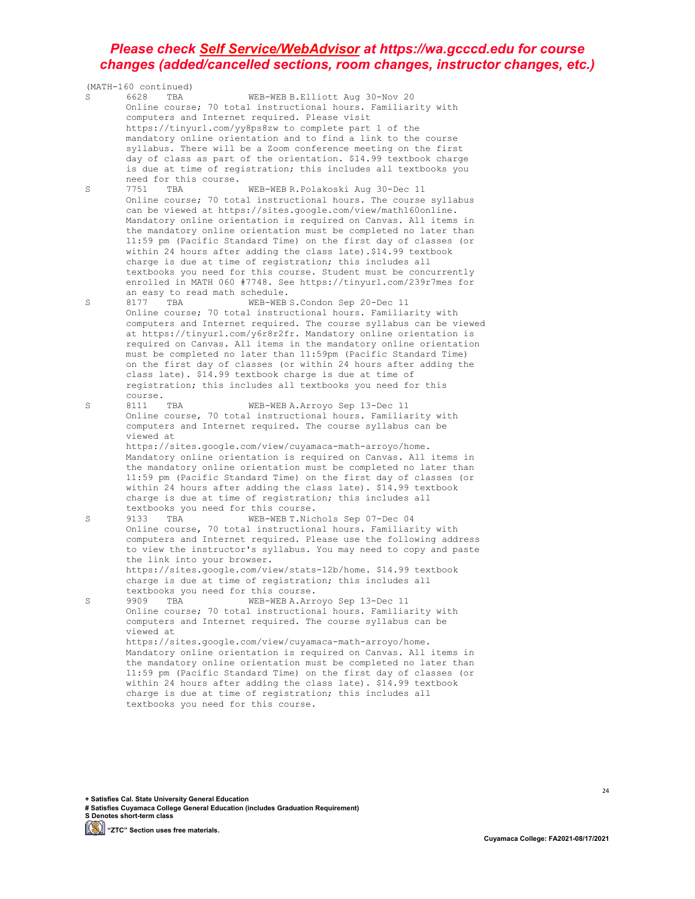|   | (MATH-160 continued)                                                                                                                |
|---|-------------------------------------------------------------------------------------------------------------------------------------|
| S | 6628<br>WEB-WEB B.Elliott Aug 30-Nov 20<br>TBA                                                                                      |
|   | Online course; 70 total instructional hours. Familiarity with                                                                       |
|   | computers and Internet required. Please visit                                                                                       |
|   | https://tinyurl.com/yy8ps8zw to complete part 1 of the                                                                              |
|   | mandatory online orientation and to find a link to the course                                                                       |
|   | syllabus. There will be a Zoom conference meeting on the first                                                                      |
|   | day of class as part of the orientation. \$14.99 textbook charge                                                                    |
|   | is due at time of registration; this includes all textbooks you                                                                     |
|   | need for this course.<br>7751                                                                                                       |
| S | WEB-WEB R. Polakoski Aug 30-Dec 11<br>TBA                                                                                           |
|   | Online course; 70 total instructional hours. The course syllabus<br>can be viewed at https://sites.google.com/view/math160online.   |
|   | Mandatory online orientation is required on Canvas. All items in                                                                    |
|   | the mandatory online orientation must be completed no later than                                                                    |
|   | 11:59 pm (Pacific Standard Time) on the first day of classes (or                                                                    |
|   | within 24 hours after adding the class late).\$14.99 textbook                                                                       |
|   | charge is due at time of registration; this includes all                                                                            |
|   | textbooks you need for this course. Student must be concurrently                                                                    |
|   | enrolled in MATH 060 #7748. See https://tinyurl.com/239r7mes for                                                                    |
|   | an easy to read math schedule.                                                                                                      |
| S | TBA<br>WEB-WEB S. Condon Sep 20-Dec 11<br>8177                                                                                      |
|   | Online course; 70 total instructional hours. Familiarity with                                                                       |
|   | computers and Internet required. The course syllabus can be viewed                                                                  |
|   | at https://tinyurl.com/y6r8r2fr. Mandatory online orientation is                                                                    |
|   | required on Canvas. All items in the mandatory online orientation                                                                   |
|   | must be completed no later than 11:59pm (Pacific Standard Time)<br>on the first day of classes (or within 24 hours after adding the |
|   | class late). \$14.99 textbook charge is due at time of                                                                              |
|   | registration; this includes all textbooks you need for this                                                                         |
|   | course.                                                                                                                             |
| S | 8111<br>WEB-WEB A. Arroyo Sep 13-Dec 11<br>TBA                                                                                      |
|   | Online course, 70 total instructional hours. Familiarity with                                                                       |
|   | computers and Internet required. The course syllabus can be                                                                         |
|   | viewed at                                                                                                                           |
|   | https://sites.google.com/view/cuyamaca-math-arroyo/home.                                                                            |
|   | Mandatory online orientation is required on Canvas. All items in                                                                    |
|   | the mandatory online orientation must be completed no later than                                                                    |
|   | 11:59 pm (Pacific Standard Time) on the first day of classes (or                                                                    |
|   | within 24 hours after adding the class late). \$14.99 textbook                                                                      |
|   | charge is due at time of registration; this includes all<br>textbooks you need for this course.                                     |
| S | TBA<br>WEB-WEB T. Nichols Sep 07-Dec 04<br>9133                                                                                     |
|   | Online course, 70 total instructional hours. Familiarity with                                                                       |
|   | computers and Internet required. Please use the following address                                                                   |
|   | to view the instructor's syllabus. You may need to copy and paste                                                                   |
|   | the link into your browser.                                                                                                         |
|   | https://sites.google.com/view/stats-12b/home. \$14.99 textbook                                                                      |
|   | charge is due at time of registration; this includes all                                                                            |
|   | textbooks you need for this course.                                                                                                 |
| S | WEB-WEB A. Arroyo Sep 13-Dec 11<br>9909<br>TBA                                                                                      |
|   | Online course; 70 total instructional hours. Familiarity with                                                                       |
|   | computers and Internet required. The course syllabus can be                                                                         |
|   | viewed at                                                                                                                           |
|   | https://sites.google.com/view/cuyamaca-math-arroyo/home.<br>Mandatory online orientation is required on Canvas. All items in        |
|   | the mandatory online orientation must be completed no later than                                                                    |
|   | 11:59 pm (Pacific Standard Time) on the first day of classes (or                                                                    |
|   | within 24 hours after adding the class late). \$14.99 textbook                                                                      |
|   | charge is due at time of registration; this includes all                                                                            |
|   | textbooks you need for this course.                                                                                                 |
|   |                                                                                                                                     |

**+ Satisfies Cal. State University General Education # Satisfies Cuyamaca College General Education (includes Graduation Requirement) S Denotes short-term class**

**"ZTC" Section uses free materials.**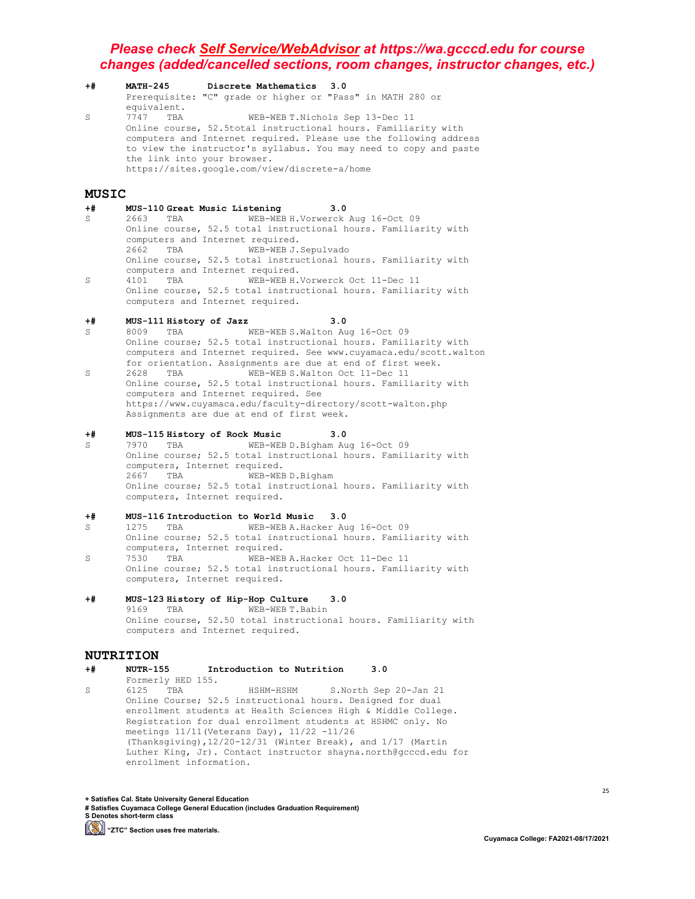**+# MATH-245 Discrete Mathematics 3.0** Prerequisite: "C" grade or higher or "Pass" in MATH 280 or equivalent.<br>7747 TBA S 7747 TBA WEB-WEB T. Nichols Sep 13-Dec 11 Online course, 52.5total instructional hours. Familiarity with computers and Internet required. Please use the following address to view the instructor's syllabus. You may need to copy and paste the link into your browser. https://sites.google.com/view/discrete-a/home

#### **MUSIC**

- **+# MUS-110 Great Music Listening 3.0** WEB-WEB H.Vorwerck Aug 16-Oct 09 Online course, 52.5 total instructional hours. Familiarity with computers and Internet required.<br>2662 TBA WEB-WEB J. WEB-WEB J.Sepulvado Online course, 52.5 total instructional hours. Familiarity with computers and Internet required.<br>4101 TBA WEB-WEB H.
- S 4101 TBA WEB-WEB H.Vorwerck Oct 11-Dec 11 Online course, 52.5 total instructional hours. Familiarity with computers and Internet required.

- **+# MUS-111 History of Jazz 3.0** S 8009 TBA WEB-WEB S.Walton Aug 16-Oct 09 Online course; 52.5 total instructional hours. Familiarity with computers and Internet required. See www.cuyamaca.edu/scott.walton for orientation. Assignments are due at end of first week.<br>2628 TBA WEB-WEBS.Walton Oct 11-Dec 11
- S 2628 TBA WEB-WEB S.Walton Oct 11-Dec 11 Online course, 52.5 total instructional hours. Familiarity with computers and Internet required. See https://www.cuyamaca.edu/faculty-directory/scott-walton.php Assignments are due at end of first week.

# **+# MUS-115 History of Rock Music 3.0**

S 7970 TBA WEB-WEB D.Bigham Aug 16-Oct 09 Online course; 52.5 total instructional hours. Familiarity with computers, Internet required.<br>2667 TBA WEB-WEB D.Bigham 2667 TBA WEB-WEB D.Bigham Online course; 52.5 total instructional hours. Familiarity with computers, Internet required.

# **+# MUS-116 Introduction to World Music 3.0**

- WEB-WEB A.Hacker Aug 16-Oct 09 Online course; 52.5 total instructional hours. Familiarity with computers, Internet required.<br>7530 TBA WEB-WEB S 7530 TBA WEB-WEB A.Hacker Oct 11-Dec 11 Online course; 52.5 total instructional hours. Familiarity with computers, Internet required.
- **+# MUS-123 History of Hip-Hop Culture 3.0** WEB-WEB T.Babin Online course, 52.50 total instructional hours. Familiarity with computers and Internet required.

# **NUTRITION**<br>+# NUTR-155

- **+# NUTR-155 Introduction to Nutrition 3.0**
- Formerly HED 155.<br>6125 TBA S 6125 TBA HSHM-HSHM S.North Sep 20-Jan 21 Online Course; 52.5 instructional hours. Designed for dual enrollment students at Health Sciences High & Middle College. Registration for dual enrollment students at HSHMC only. No meetings 11/11(Veterans Day), 11/22 -11/26 (Thanksgiving),12/20-12/31 (Winter Break), and 1/17 (Martin Luther King, Jr). Contact instructor shayna.north@gcccd.edu for enrollment information.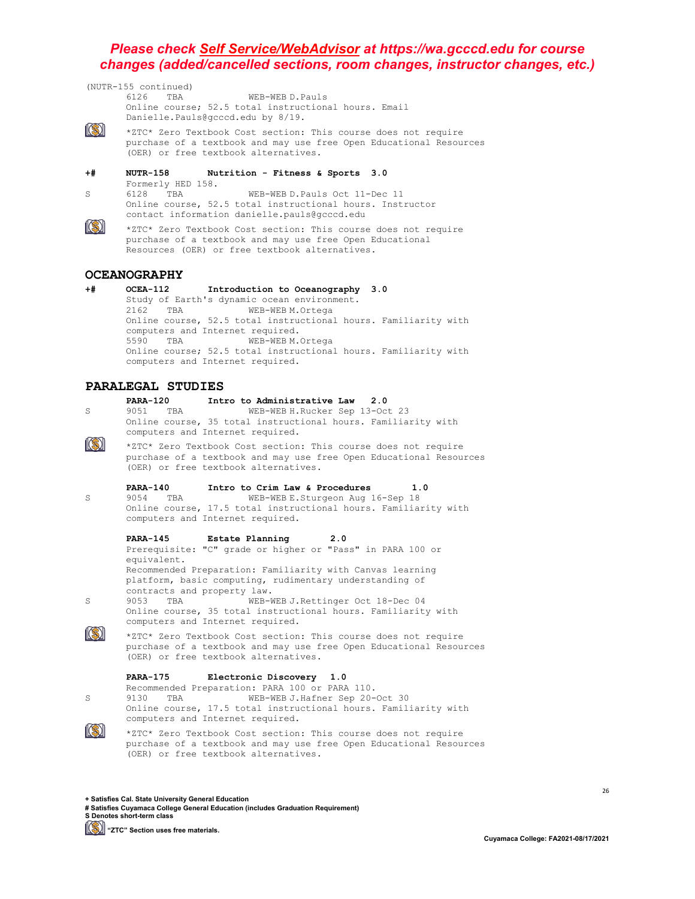(NUTR-155 continued) 6126 TBA WEB-WEB D.Pauls Online course; 52.5 total instructional hours. Email Danielle.Pauls@gcccd.edu by 8/19. 13) \*ZTC\* Zero Textbook Cost section: This course does not require purchase of a textbook and may use free Open Educational Resources (OER) or free textbook alternatives. **+# NUTR-158 Nutrition - Fitness & Sports 3.0** Formerly HED 158.<br>6128 TBA S 6128 TBA WEB-WEB D.Pauls Oct 11-Dec 11 Online course, 52.5 total instructional hours. Instructor contact information danielle.pauls@gcccd.edu 13) \*ZTC\* Zero Textbook Cost section: This course does not require purchase of a textbook and may use free Open Educational

Resources (OER) or free textbook alternatives.

# **OCEANOGRAPHY**

**+# OCEA-112 Introduction to Oceanography 3.0** Study of Earth's dynamic ocean environment.<br>2162 TBA WEB-WEBM.Ortega WEB-WEB M.Ortega Online course, 52.5 total instructional hours. Familiarity with computers and Internet required.<br>5590 TBA WEB-WEBM. WEB-WEB M.Ortega Online course; 52.5 total instructional hours. Familiarity with computers and Internet required.

#### **PARALEGAL STUDIES**

- **PARA-120 Intro to Administrative Law 2.0** S 9051 TBA WEB-WEB H.Rucker Sep 13-Oct 23 Online course, 35 total instructional hours. Familiarity with computers and Internet required.  $\ket{S}$ \*ZTC\* Zero Textbook Cost section: This course does not require purchase of a textbook and may use free Open Educational Resources (OER) or free textbook alternatives. **PARA-140 Intro to Crim Law & Procedures 1.0** S 9054 TBA WEB-WEB E.Sturgeon Aug 16-Sep 18 Online course, 17.5 total instructional hours. Familiarity with computers and Internet required. **PARA-145 Estate Planning 2.0** Prerequisite: "C" grade or higher or "Pass" in PARA 100 or equivalent. Recommended Preparation: Familiarity with Canvas learning platform, basic computing, rudimentary understanding of contracts and property law.<br>9053 TBA WEB-W S 9053 TBA WEB-WEB J.Rettinger Oct 18-Dec 04 Online course, 35 total instructional hours. Familiarity with computers and Internet required.  $\left\| \left( \mathbb{S}\right) \right\|$ \*ZTC\* Zero Textbook Cost section: This course does not require purchase of a textbook and may use free Open Educational Resources (OER) or free textbook alternatives. **PARA-175 Electronic Discovery 1.0** Recommended Preparation: PARA 100 or PARA 110. S 9130 TBA WEB-WEB J.Hafner Sep 20-Oct 30 Online course, 17.5 total instructional hours. Familiarity with computers and Internet required.
- $\ket{S}$ \*ZTC\* Zero Textbook Cost section: This course does not require purchase of a textbook and may use free Open Educational Resources (OER) or free textbook alternatives.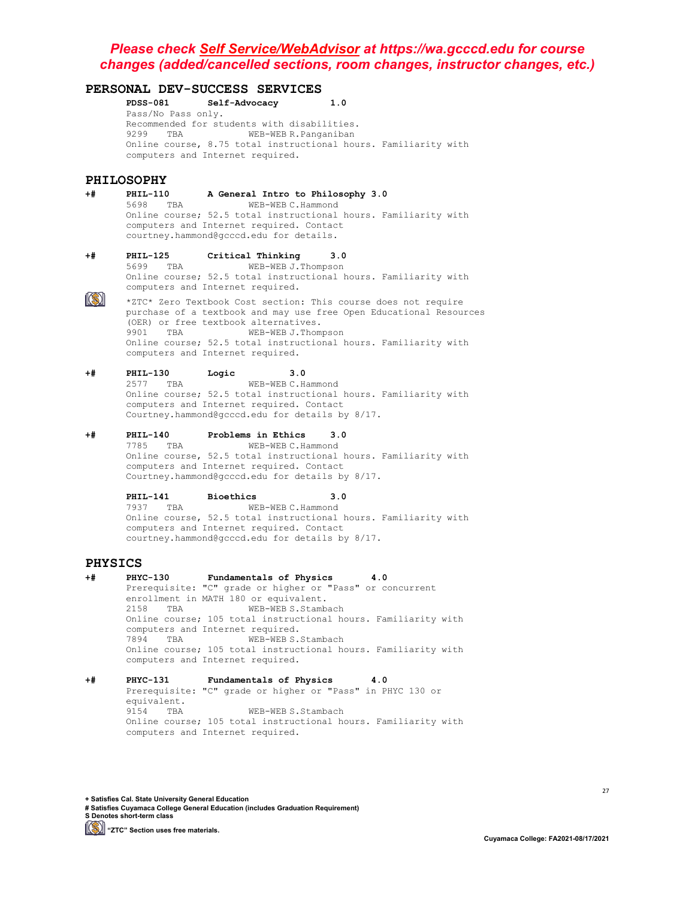# **PERSONAL DEV-SUCCESS SERVICES**

**PDSS-081 Self-Advocacy 1.0** Pass/No Pass only. Recommended for students with disabilities.<br>9299 TBA WEB-WEB R. Panganiban WEB-WEB R.Panganiban Online course, 8.75 total instructional hours. Familiarity with computers and Internet required.

# PHILOSOPHY<br>+# PHIL-110

#### **+# PHIL-110 A General Intro to Philosophy 3.0**

5698 TBA WEB-WEB C.Hammond Online course; 52.5 total instructional hours. Familiarity with computers and Internet required. Contact courtney.hammond@gcccd.edu for details.

- **+# PHIL-125 Critical Thinking 3.0** 5699 TBA WEB-WEB J.Thompson Online course; 52.5 total instructional hours. Familiarity with computers and Internet required.
- $\circledR$ \*ZTC\* Zero Textbook Cost section: This course does not require purchase of a textbook and may use free Open Educational Resources (OER) or free textbook alternatives.<br>9901 TBA WEB-WEB J.Thom WEB-WEB J.Thompson Online course; 52.5 total instructional hours. Familiarity with computers and Internet required.

#### **+# PHIL-130 Logic 3.0**

2577 TBA WEB-WEB C.Hammond Online course; 52.5 total instructional hours. Familiarity with computers and Internet required. Contact Courtney.hammond@gcccd.edu for details by 8/17.

# **+# PHIL-140 Problems in Ethics 3.0**

WEB-WEB C.Hammond Online course, 52.5 total instructional hours. Familiarity with computers and Internet required. Contact Courtney.hammond@gcccd.edu for details by 8/17.

# **PHIL-141 Bioethics 3.0**

7937 TBA WEB-WEB C.Hammond Online course, 52.5 total instructional hours. Familiarity with computers and Internet required. Contact courtney.hammond@gcccd.edu for details by 8/17.

**PHYSICS**<br>+# PHYC-130  $Fundamentals of Physics 4.0$ Prerequisite: "C" grade or higher or "Pass" or concurrent enrollment in MATH 180 or equivalent.<br>2158 TBA WEB-WEB S.Stamb WEB-WEB S.Stambach Online course; 105 total instructional hours. Familiarity with computers and Internet required.<br>7894 TBA WEB-WEBS. WEB-WEB S.Stambach Online course; 105 total instructional hours. Familiarity with computers and Internet required.

#### **+# PHYC-131 Fundamentals of Physics 4.0** Prerequisite: "C" grade or higher or "Pass" in PHYC 130 or equivalent.<br>9154 TBA WEB-WEB S.Stambach Online course; 105 total instructional hours. Familiarity with computers and Internet required.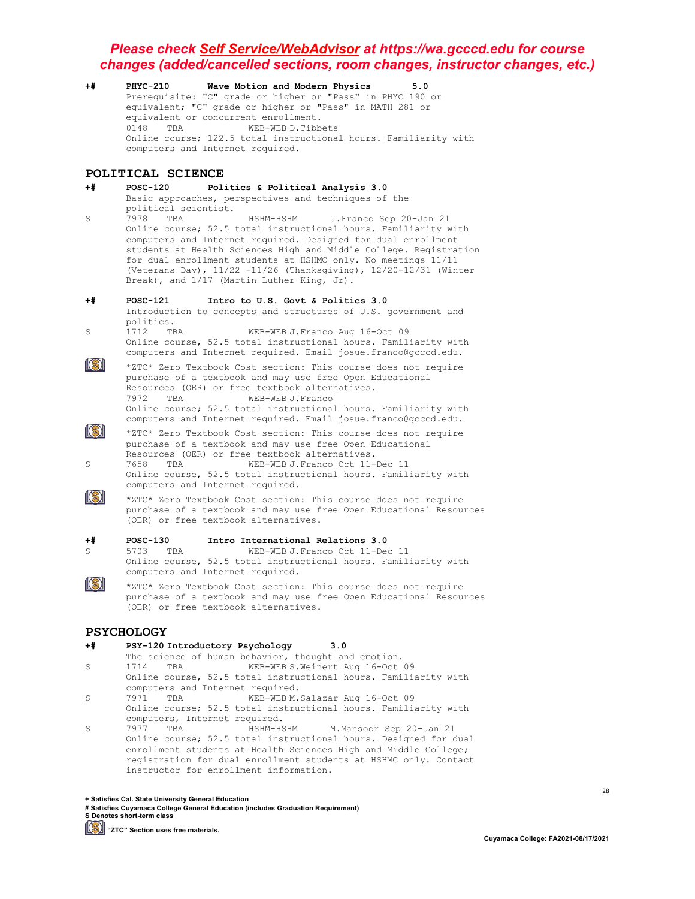**+# PHYC-210 Wave Motion and Modern Physics 5.0** Prerequisite: "C" grade or higher or "Pass" in PHYC 190 or equivalent; "C" grade or higher or "Pass" in MATH 281 or equivalent or concurrent enrollment.<br>0148 TBA WEB-WEB D. Tibbe WEB-WEB D.Tibbets Online course; 122.5 total instructional hours. Familiarity with computers and Internet required.

# **POLITICAL SCIENCE**<br>+# POSC-120 Pol

- **+# POSC-120 Politics & Political Analysis 3.0** Basic approaches, perspectives and techniques of the political scientist.<br>7978 TBA S 7978 TBA HSHM-HSHM J.Franco Sep 20-Jan 21 Online course; 52.5 total instructional hours. Familiarity with computers and Internet required. Designed for dual enrollment students at Health Sciences High and Middle College. Registration for dual enrollment students at HSHMC only. No meetings 11/11 (Veterans Day), 11/22 -11/26 (Thanksgiving), 12/20-12/31 (Winter Break), and 1/17 (Martin Luther King, Jr).
- **+# POSC-121 Intro to U.S. Govt & Politics 3.0** Introduction to concepts and structures of U.S. government and politics.<br>1712 TBA S 1712 TBA WEB-WEB J. Franco Aug 16-Oct 09 Online course, 52.5 total instructional hours. Familiarity with computers and Internet required. Email josue.franco@gcccd.edu.
- $\|(\mathbb{S})\|$ \*ZTC\* Zero Textbook Cost section: This course does not require purchase of a textbook and may use free Open Educational Resources (OER) or free textbook alternatives.<br>7972 TBA WEB-WEB J.Franco WEB-WEB J.Franco Online course; 52.5 total instructional hours. Familiarity with computers and Internet required. Email josue.franco@gcccd.edu.
- $\circledR$ \*ZTC\* Zero Textbook Cost section: This course does not require purchase of a textbook and may use free Open Educational Resources (OER) or free textbook alternatives.<br>7658 TBA WEB-WEB J.Franco Oct 11-S 7658 TBA WEB-WEB J.Franco Oct 11-Dec 11
	- Online course, 52.5 total instructional hours. Familiarity with computers and Internet required.
- $\ket{\mathbb{S}}$ \*ZTC\* Zero Textbook Cost section: This course does not require purchase of a textbook and may use free Open Educational Resources (OER) or free textbook alternatives.

# **+# POSC-130 Intro International Relations 3.0**

- WEB-WEB J.Franco Oct 11-Dec 11 Online course, 52.5 total instructional hours. Familiarity with computers and Internet required.
- $\ket{\mathbb{S}}$ \*ZTC\* Zero Textbook Cost section: This course does not require purchase of a textbook and may use free Open Educational Resources (OER) or free textbook alternatives.

#### **PSYCHOLOGY**

- **+# PSY-120 Introductory Psychology 3.0** The science of human behavior, thought and emotion.<br>1714 TBA WEB-WEB S. Weinert Aug 16-Oct S 1714 TBA WEB-WEB S.Weinert Aug 16-Oct 09 Online course, 52.5 total instructional hours. Familiarity with computers and Internet required.<br>7971 TBA WEB-WEBM. S 7971 TBA WEB-WEB M. Salazar Aug 16-Oct 09 Online course; 52.5 total instructional hours. Familiarity with computers, Internet required.<br>7977 TBA HSHM-HSHM S 7977 TBA HSHM-HSHM M.Mansoor Sep 20-Jan 21
- Online course; 52.5 total instructional hours. Designed for dual enrollment students at Health Sciences High and Middle College; registration for dual enrollment students at HSHMC only. Contact instructor for enrollment information.

**+ Satisfies Cal. State University General Education**

**# Satisfies Cuyamaca College General Education (includes Graduation Requirement) S Denotes short-term class**

**[Simma]** "ZTC" Section uses free materials.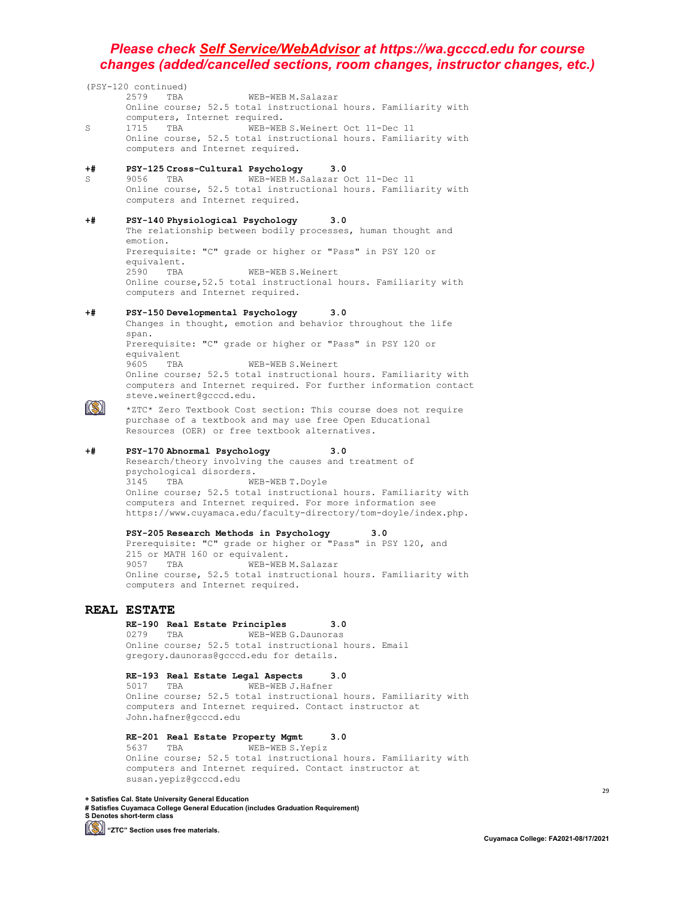|      | (PSY-120 continued)                                                                 |
|------|-------------------------------------------------------------------------------------|
|      | 2579<br>TBA<br>WEB-WEB M. Salazar                                                   |
|      | Online course; 52.5 total instructional hours. Familiarity with                     |
|      | computers, Internet required.                                                       |
| S    | WEB-WEB S. Weinert Oct 11-Dec 11<br>1715<br>TBA                                     |
|      | Online course, 52.5 total instructional hours. Familiarity with                     |
|      | computers and Internet required.                                                    |
|      |                                                                                     |
| +#   | PSY-125 Cross-Cultural Psychology<br>3.0                                            |
| S    | WEB-WEB M.Salazar Oct 11-Dec 11<br>9056<br>TBA                                      |
|      | Online course, 52.5 total instructional hours. Familiarity with                     |
|      | computers and Internet required.                                                    |
|      |                                                                                     |
| $+#$ | PSY-140 Physiological Psychology<br>3.0                                             |
|      | The relationship between bodily processes, human thought and                        |
|      | emotion.                                                                            |
|      | Prerequisite: "C" grade or higher or "Pass" in PSY 120 or                           |
|      | equivalent.<br>2590<br>WEB-WEB S.Weinert<br>TBA                                     |
|      | Online course, 52.5 total instructional hours. Familiarity with                     |
|      | computers and Internet required.                                                    |
|      |                                                                                     |
| +#   | PSY-150 Developmental Psychology<br>3.0                                             |
|      | Changes in thought, emotion and behavior throughout the life                        |
|      | span.                                                                               |
|      | Prerequisite: "C" grade or higher or "Pass" in PSY 120 or                           |
|      | equivalent                                                                          |
|      | 9605<br>WEB-WEB S.Weinert<br>TBA                                                    |
|      | Online course; 52.5 total instructional hours. Familiarity with                     |
|      | computers and Internet required. For further information contact                    |
|      | steve.weinert@gcccd.edu.                                                            |
|      | *ZTC* Zero Textbook Cost section: This course does not require                      |
|      | purchase of a textbook and may use free Open Educational                            |
|      | Resources (OER) or free textbook alternatives.                                      |
|      |                                                                                     |
| $+#$ | 3.0<br>PSY-170 Abnormal Psychology                                                  |
|      | Research/theory involving the causes and treatment of                               |
|      | psychological disorders.                                                            |
|      | 3145<br>TBA<br>WEB-WEB T. Doyle                                                     |
|      | Online course; 52.5 total instructional hours. Familiarity with                     |
|      | computers and Internet required. For more information see                           |
|      | https://www.cuyamaca.edu/faculty-directory/tom-doyle/index.php.                     |
|      | PSY-205 Research Methods in Psychology<br>3.0                                       |
|      | Prerequisite: "C" grade or higher or "Pass" in PSY 120, and                         |
|      | 215 or MATH 160 or equivalent.                                                      |
|      | 9057<br>WEB-WEB M. Salazar<br>TBA                                                   |
|      | Online course, 52.5 total instructional hours. Familiarity with                     |
|      | computers and Internet required.                                                    |
|      |                                                                                     |
|      | REAL ESTATE                                                                         |
|      |                                                                                     |
|      | RE-190 Real Estate Principles<br>3.0<br>TBA                                         |
|      | WEB-WEB G. Daunoras<br>0279<br>Online course; 52.5 total instructional hours. Email |
|      | gregory.daunoras@gcccd.edu for details.                                             |
|      |                                                                                     |
|      |                                                                                     |
|      | 3.0                                                                                 |
|      | RE-193 Real Estate Legal Aspects<br>WEB-WEB J.Hafner<br>5017<br>TBA                 |
|      | Online course; 52.5 total instructional hours. Familiarity with                     |
|      | computers and Internet required. Contact instructor at<br>John.hafner@gcccd.edu     |

### **RE-201 Real Estate Property Mgmt 3.0**

5637 TBA WEB-WEB S.Yepiz Online course; 52.5 total instructional hours. Familiarity with computers and Internet required. Contact instructor at susan.yepiz@gcccd.edu

**+ Satisfies Cal. State University General Education # Satisfies Cuyamaca College General Education (includes Graduation Requirement) S Denotes short-term class**

**[Simmal]** "ZTC" Section uses free materials.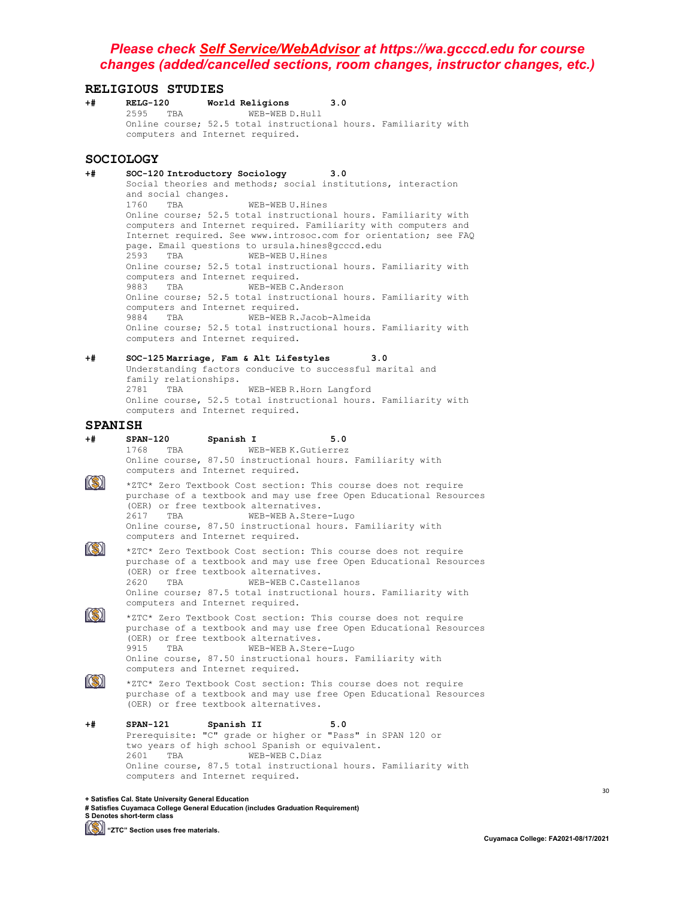# **RELIGIOUS STUDIES**<br>+# RELG-120 World

**RELG-120 World Religions 3.0**<br>2595 TBA **WEB-WEB D.Hull** 2595 TBA WEB-WEB D.Hull Online course; 52.5 total instructional hours. Familiarity with computers and Internet required.

#### **SOCIOLOGY**

- **+# SOC-120 Introductory Sociology 3.0** Social theories and methods; social institutions, interaction and social changes.<br>1760 TBA WEB-WEB U.Hines Online course; 52.5 total instructional hours. Familiarity with computers and Internet required. Familiarity with computers and Internet required. See www.introsoc.com for orientation; see FAQ page. Email questions to ursula.hines@gcccd.edu<br>2593 TBA WER-WER U.Hines WEB-WEB U.Hines Online course; 52.5 total instructional hours. Familiarity with computers and Internet required.<br>9883 TBA WEB-WEBC. WEB-WEB C.Anderson Online course; 52.5 total instructional hours. Familiarity with computers and Internet required.<br>9884 TBA WEB-WEBR. WEB-WEB R.Jacob-Almeida Online course; 52.5 total instructional hours. Familiarity with computers and Internet required.
- **+# SOC-125 Marriage, Fam & Alt Lifestyles 3.0** Understanding factors conducive to successful marital and family relationships.<br>2781 TBA WEB-WEB R.Horn Langford Online course, 52.5 total instructional hours. Familiarity with computers and Internet required.

# **SPANISH**<br>+# span-120

**+# SPAN-120 Spanish I 5.0** WEB-WEB K.Gutierrez Online course, 87.50 instructional hours. Familiarity with computers and Internet required.  $\circledR$ \*ZTC\* Zero Textbook Cost section: This course does not require purchase of a textbook and may use free Open Educational Resources (OER) or free textbook alternatives.<br>2617 TBA WEB-WEB A.Stere-Lugo 2617 TBA WEB-WEB A.Stere-Lugo Online course, 87.50 instructional hours. Familiarity with computers and Internet required.  $\circledR$ \*ZTC\* Zero Textbook Cost section: This course does not require purchase of a textbook and may use free Open Educational Resources (OER) or free textbook alternatives.<br>2620 TBA WEB-WEBC.Caste WEB-WEB C.Castellanos

Online course; 87.5 total instructional hours. Familiarity with computers and Internet required.

\*ZTC\* Zero Textbook Cost section: This course does not require purchase of a textbook and may use free Open Educational Resources (OER) or free textbook alternatives.<br>9915 TBA WEB-WEBA Stere WEB-WEB A.Stere-Lugo Online course, 87.50 instructional hours. Familiarity with computers and Internet required.

 $\mathbb{C}$ 

 $\|(\mathbb{S})\|$ 

\*ZTC\* Zero Textbook Cost section: This course does not require purchase of a textbook and may use free Open Educational Resources (OER) or free textbook alternatives.

**+# SPAN-121 Spanish II 5.0** Prerequisite: "C" grade or higher or "Pass" in SPAN 120 or two years of high school Spanish or equivalent.<br>2601 TBA WEB-WEBC.Diaz WEB-WEB C.Diaz Online course, 87.5 total instructional hours. Familiarity with computers and Internet required.

**+ Satisfies Cal. State University General Education**

**<sup>#</sup> Satisfies Cuyamaca College General Education (includes Graduation Requirement) S Denotes short-term class**